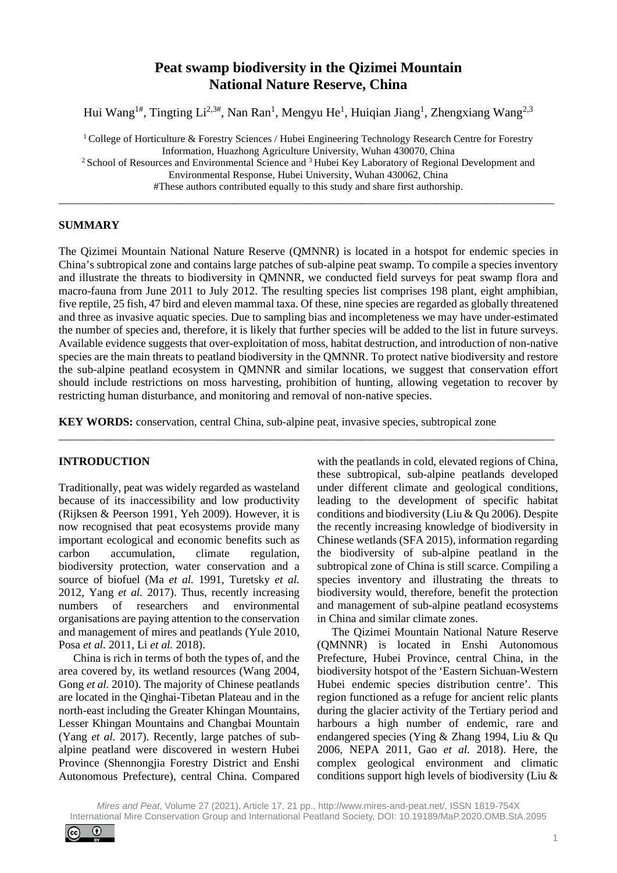# **Peat swamp biodiversity in the Qizimei Mountain National Nature Reserve, China**

Hui Wang<sup>1#</sup>, Tingting Li<sup>2,3#</sup>, Nan Ran<sup>1</sup>, Mengyu He<sup>1</sup>, Huiqian Jiang<sup>1</sup>, Zhengxiang Wang<sup>2,3</sup>

<sup>1</sup> College of Horticulture & Forestry Sciences / Hubei Engineering Technology Research Centre for Forestry Information, Huazhong Agriculture University, Wuhan 430070, China

<sup>2</sup> School of Resources and Environmental Science and <sup>3</sup> Hubei Key Laboratory of Regional Development and Environmental Response, Hubei University, Wuhan 430062, China

#These authors contributed equally to this study and share first authorship. \_\_\_\_\_\_\_\_\_\_\_\_\_\_\_\_\_\_\_\_\_\_\_\_\_\_\_\_\_\_\_\_\_\_\_\_\_\_\_\_\_\_\_\_\_\_\_\_\_\_\_\_\_\_\_\_\_\_\_\_\_\_\_\_\_\_\_\_\_\_\_\_\_\_\_\_\_\_\_\_\_\_\_\_\_\_\_

# **SUMMARY**

The Qizimei Mountain National Nature Reserve (QMNNR) is located in a hotspot for endemic species in China's subtropical zone and contains large patches of sub-alpine peat swamp. To compile a species inventory and illustrate the threats to biodiversity in QMNNR, we conducted field surveys for peat swamp flora and macro-fauna from June 2011 to July 2012. The resulting species list comprises 198 plant, eight amphibian, five reptile, 25 fish, 47 bird and eleven mammal taxa. Of these, nine species are regarded as globally threatened and three as invasive aquatic species. Due to sampling bias and incompleteness we may have under-estimated the number of species and, therefore, it is likely that further species will be added to the list in future surveys. Available evidence suggests that over-exploitation of moss, habitat destruction, and introduction of non-native species are the main threats to peatland biodiversity in the QMNNR. To protect native biodiversity and restore the sub-alpine peatland ecosystem in QMNNR and similar locations, we suggest that conservation effort should include restrictions on moss harvesting, prohibition of hunting, allowing vegetation to recover by restricting human disturbance, and monitoring and removal of non-native species.

\_\_\_\_\_\_\_\_\_\_\_\_\_\_\_\_\_\_\_\_\_\_\_\_\_\_\_\_\_\_\_\_\_\_\_\_\_\_\_\_\_\_\_\_\_\_\_\_\_\_\_\_\_\_\_\_\_\_\_\_\_\_\_\_\_\_\_\_\_\_\_\_\_\_\_\_\_\_\_\_\_\_\_\_\_\_\_

**KEY WORDS:** conservation, central China, sub-alpine peat, invasive species, subtropical zone

# **INTRODUCTION**

Traditionally, peat was widely regarded as wasteland because of its inaccessibility and low productivity (Rijksen & Peerson 1991, Yeh 2009). However, it is now recognised that peat ecosystems provide many important ecological and economic benefits such as carbon accumulation, climate regulation, biodiversity protection, water conservation and a source of biofuel (Ma *et al.* 1991, Turetsky *et al.* 2012, Yang *et al.* 2017). Thus, recently increasing numbers of researchers and environmental organisations are paying attention to the conservation and management of mires and peatlands (Yule 2010, Posa *et al.* 2011, Li *et al.* 2018).

China is rich in terms of both the types of, and the area covered by, its wetland resources (Wang 2004, Gong *et al.* 2010). The majority of Chinese peatlands are located in the Qinghai-Tibetan Plateau and in the north-east including the Greater Khingan Mountains, Lesser Khingan Mountains and Changbai Mountain (Yang *et al.* 2017). Recently, large patches of subalpine peatland were discovered in western Hubei Province (Shennongjia Forestry District and Enshi Autonomous Prefecture), central China. Compared

with the peatlands in cold, elevated regions of China, these subtropical, sub-alpine peatlands developed under different climate and geological conditions, leading to the development of specific habitat conditions and biodiversity (Liu & Qu 2006). Despite the recently increasing knowledge of biodiversity in Chinese wetlands (SFA 2015), information regarding the biodiversity of sub-alpine peatland in the subtropical zone of China is still scarce. Compiling a species inventory and illustrating the threats to biodiversity would, therefore, benefit the protection and management of sub-alpine peatland ecosystems in China and similar climate zones.

The Qizimei Mountain National Nature Reserve (QMNNR) is located in Enshi Autonomous Prefecture, Hubei Province, central China, in the biodiversity hotspot of the 'Eastern Sichuan-Western Hubei endemic species distribution centre'. This region functioned as a refuge for ancient relic plants during the glacier activity of the Tertiary period and harbours a high number of endemic, rare and endangered species (Ying & Zhang 1994, Liu & Qu 2006, NEPA 2011, Gao *et al.* 2018). Here, the complex geological environment and climatic conditions support high levels of biodiversity (Liu &

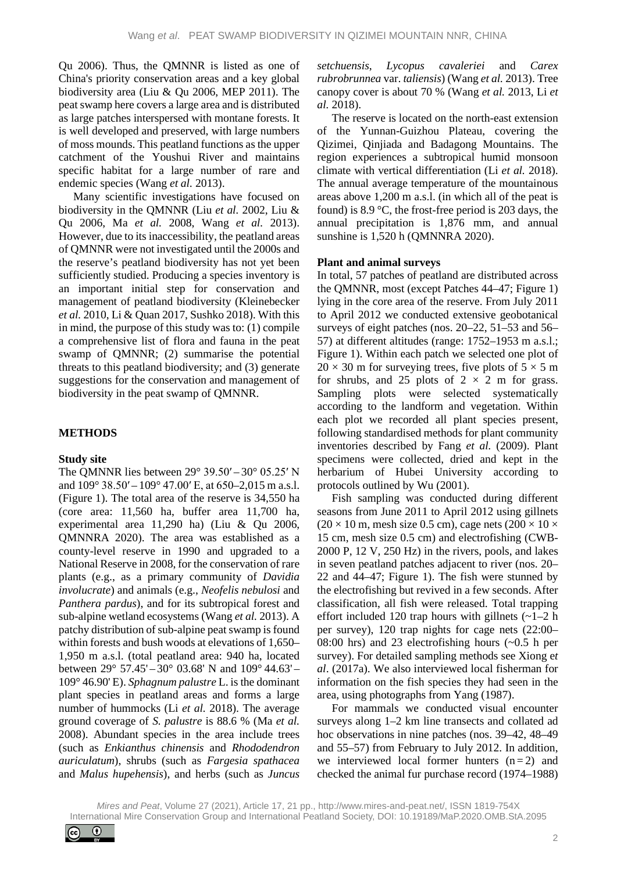Qu 2006). Thus, the QMNNR is listed as one of China's priority conservation areas and a key global biodiversity area (Liu & Qu 2006, MEP 2011). The peat swamp here covers a large area and is distributed as large patches interspersed with montane forests. It is well developed and preserved, with large numbers of moss mounds. This peatland functions as the upper catchment of the Youshui River and maintains specific habitat for a large number of rare and endemic species (Wang *et al.* 2013).

Many scientific investigations have focused on biodiversity in the QMNNR (Liu *et al.* 2002, Liu & Qu 2006, Ma *et al.* 2008, Wang *et al.* 2013). However, due to its inaccessibility, the peatland areas of QMNNR were not investigated until the 2000s and the reserve's peatland biodiversity has not yet been sufficiently studied. Producing a species inventory is an important initial step for conservation and management of peatland biodiversity (Kleinebecker *et al.* 2010, Li & Quan 2017, Sushko 2018). With this in mind, the purpose of this study was to: (1) compile a comprehensive list of flora and fauna in the peat swamp of QMNNR; (2) summarise the potential threats to this peatland biodiversity; and (3) generate suggestions for the conservation and management of biodiversity in the peat swamp of QMNNR.

# **METHODS**

# **Study site**

The QMNNR lies between 29° 39.50′ – 30° 05.25′ N and  $109^{\circ}$  38.50′ –  $109^{\circ}$  47.00′ E, at 650–2,015 m a.s.l. (Figure 1). The total area of the reserve is 34,550 ha (core area: 11,560 ha, buffer area 11,700 ha, experimental area 11,290 ha) (Liu & Qu 2006, QMNNRA 2020). The area was established as a county-level reserve in 1990 and upgraded to a National Reserve in 2008, for the conservation of rare plants (e.g., as a primary community of *Davidia involucrate*) and animals (e.g., *Neofelis nebulosi* and *Panthera pardus*), and for its subtropical forest and sub-alpine wetland ecosystems (Wang *et al.* 2013). A patchy distribution of sub-alpine peat swamp is found within forests and bush woods at elevations of 1,650– 1,950 m a.s.l. (total peatland area: 940 ha, located between 29° 57.45' – 30° 03.68' N and 109° 44.63' – 109° 46.90' E). *Sphagnum palustre* L. is the dominant plant species in peatland areas and forms a large number of hummocks (Li *et al.* 2018). The average ground coverage of *S. palustre* is 88.6 % (Ma *et al.* 2008). Abundant species in the area include trees (such as *Enkianthus chinensis* and *Rhododendron auriculatum*), shrubs (such as *Fargesia spathacea* and *Malus hupehensis*), and herbs (such as *Juncus* 

*setchuensis*, *Lycopus cavaleriei* and *Carex rubrobrunnea* var. *taliensis*) (Wang *et al.* 2013). Tree canopy cover is about 70 % (Wang *et al.* 2013, Li *et al.* 2018).

The reserve is located on the north-east extension of the Yunnan-Guizhou Plateau, covering the Qizimei, Qinjiada and Badagong Mountains. The region experiences a subtropical humid monsoon climate with vertical differentiation (Li *et al.* 2018). The annual average temperature of the mountainous areas above 1,200 m a.s.l. (in which all of the peat is found) is 8.9 °C, the frost-free period is 203 days, the annual precipitation is 1,876 mm, and annual sunshine is 1,520 h (QMNNRA 2020).

#### **Plant and animal surveys**

In total, 57 patches of peatland are distributed across the QMNNR, most (except Patches 44–47; Figure 1) lying in the core area of the reserve. From July 2011 to April 2012 we conducted extensive geobotanical surveys of eight patches (nos. 20–22, 51–53 and 56– 57) at different altitudes (range: 1752–1953 m a.s.l.; Figure 1). Within each patch we selected one plot of  $20 \times 30$  m for surveying trees, five plots of  $5 \times 5$  m for shrubs, and 25 plots of  $2 \times 2$  m for grass. Sampling plots were selected systematically according to the landform and vegetation. Within each plot we recorded all plant species present, following standardised methods for plant community inventories described by Fang *et al.* (2009). Plant specimens were collected, dried and kept in the herbarium of Hubei University according to protocols outlined by Wu (2001).

Fish sampling was conducted during different seasons from June 2011 to April 2012 using gillnets  $(20 \times 10 \text{ m}, \text{mesh size } 0.5 \text{ cm})$ , cage nets  $(200 \times 10 \times$ 15 cm, mesh size 0.5 cm) and electrofishing (CWB-2000 P, 12 V, 250 Hz) in the rivers, pools, and lakes in seven peatland patches adjacent to river (nos. 20– 22 and 44–47; Figure 1). The fish were stunned by the electrofishing but revived in a few seconds. After classification, all fish were released. Total trapping effort included 120 trap hours with gillnets  $(-1)$  h per survey), 120 trap nights for cage nets (22:00– 08:00 hrs) and 23 electrofishing hours (~0.5 h per survey). For detailed sampling methods see Xiong e*t al*. (2017a). We also interviewed local fisherman for information on the fish species they had seen in the area, using photographs from Yang (1987).

For mammals we conducted visual encounter surveys along 1–2 km line transects and collated ad hoc observations in nine patches (nos. 39–42, 48–49 and 55–57) from February to July 2012. In addition, we interviewed local former hunters  $(n=2)$  and checked the animal fur purchase record (1974–1988)

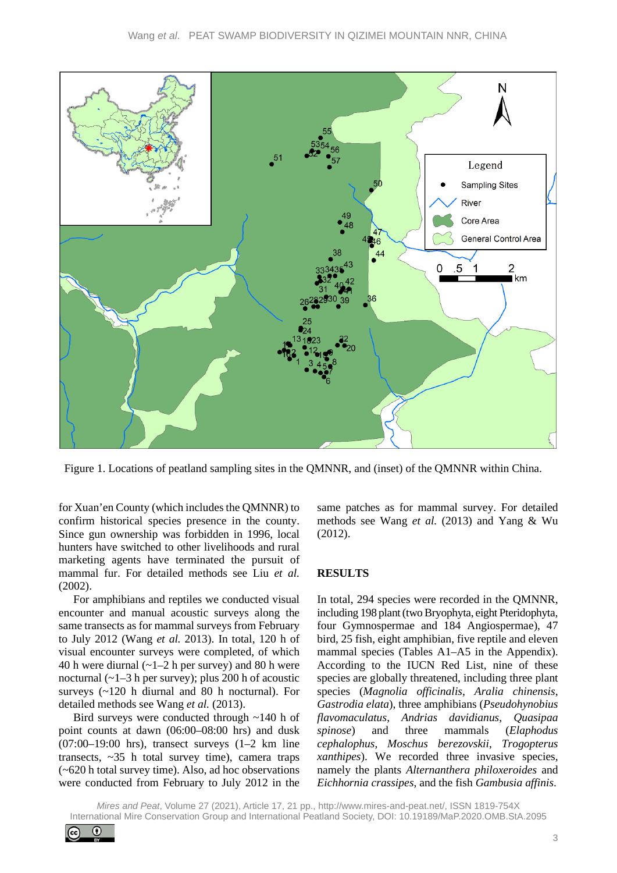

Figure 1. Locations of peatland sampling sites in the QMNNR, and (inset) of the QMNNR within China.

for Xuan'en County (which includes the QMNNR) to confirm historical species presence in the county. Since gun ownership was forbidden in 1996, local hunters have switched to other livelihoods and rural marketing agents have terminated the pursuit of mammal fur. For detailed methods see Liu *et al.* (2002).

For amphibians and reptiles we conducted visual encounter and manual acoustic surveys along the same transects as for mammal surveys from February to July 2012 (Wang *et al.* 2013). In total, 120 h of visual encounter surveys were completed, of which 40 h were diurnal  $(-1-2)$  h per survey) and 80 h were nocturnal  $(-1-3 h$  per survey); plus 200 h of acoustic surveys (~120 h diurnal and 80 h nocturnal). For detailed methods see Wang *et al.* (2013).

Bird surveys were conducted through ~140 h of point counts at dawn (06:00–08:00 hrs) and dusk  $(07:00-19:00$  hrs), transect surveys  $(1-2)$  km line transects,  $\sim$ 35 h total survey time), camera traps (~620 h total survey time). Also, ad hoc observations were conducted from February to July 2012 in the

same patches as for mammal survey. For detailed methods see Wang *et al.* (2013) and Yang & Wu (2012).

# **RESULTS**

In total, 294 species were recorded in the QMNNR, including 198 plant (two Bryophyta, eight Pteridophyta, four Gymnospermae and 184 Angiospermae), 47 bird, 25 fish, eight amphibian, five reptile and eleven mammal species (Tables A1–A5 in the Appendix). According to the IUCN Red List, nine of these species are globally threatened, including three plant species (*Magnolia officinalis*, *Aralia chinensis*, *Gastrodia elata*), three amphibians (*Pseudohynobius flavomaculatus*, *Andrias davidianus*, *Quasipaa spinose*) and three mammals (*Elaphodus cephalophus*, *Moschus berezovskii*, *Trogopterus xanthipes*). We recorded three invasive species, namely the plants *Alternanthera philoxeroides* and *Eichhornia crassipes*, and the fish *Gambusia affinis*.

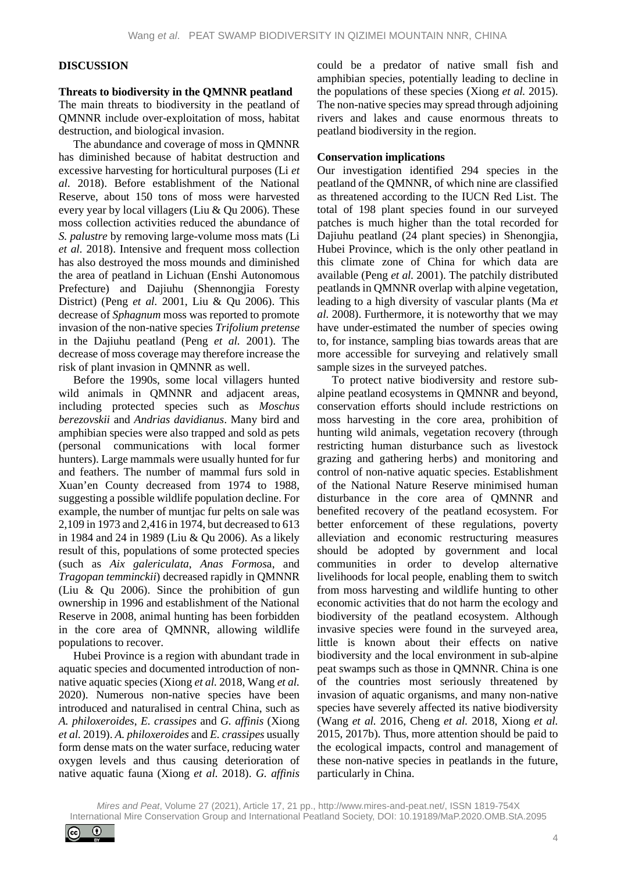#### **DISCUSSION**

#### **Threats to biodiversity in the QMNNR peatland**

The main threats to biodiversity in the peatland of QMNNR include over-exploitation of moss, habitat destruction, and biological invasion.

The abundance and coverage of moss in QMNNR has diminished because of habitat destruction and excessive harvesting for horticultural purposes (Li *et al.* 2018). Before establishment of the National Reserve, about 150 tons of moss were harvested every year by local villagers (Liu & Qu 2006). These moss collection activities reduced the abundance of *S. palustre* by removing large-volume moss mats (Li *et al.* 2018). Intensive and frequent moss collection has also destroyed the moss mounds and diminished the area of peatland in Lichuan (Enshi Autonomous Prefecture) and Dajiuhu (Shennongjia Foresty District) (Peng *et al.* 2001, Liu & Qu 2006). This decrease of *Sphagnum* moss was reported to promote invasion of the non-native species *Trifolium pretense* in the Dajiuhu peatland (Peng *et al.* 2001). The decrease of moss coverage may therefore increase the risk of plant invasion in QMNNR as well.

Before the 1990s, some local villagers hunted wild animals in QMNNR and adjacent areas, including protected species such as *Moschus berezovskii* and *Andrias davidianus*. Many bird and amphibian species were also trapped and sold as pets (personal communications with local former hunters). Large mammals were usually hunted for fur and feathers. The number of mammal furs sold in Xuan'en County decreased from 1974 to 1988, suggesting a possible wildlife population decline. For example, the number of muntjac fur pelts on sale was 2,109 in 1973 and 2,416 in 1974, but decreased to 613 in 1984 and 24 in 1989 (Liu & Qu 2006). As a likely result of this, populations of some protected species (such as *Aix galericulata*, *Anas Formos*a, and *Tragopan temminckii*) decreased rapidly in QMNNR (Liu & Qu 2006). Since the prohibition of gun ownership in 1996 and establishment of the National Reserve in 2008, animal hunting has been forbidden in the core area of QMNNR, allowing wildlife populations to recover.

Hubei Province is a region with abundant trade in aquatic species and documented introduction of nonnative aquatic species (Xiong *et al.* 2018, Wang *et al.* 2020). Numerous non-native species have been introduced and naturalised in central China, such as *A. philoxeroides*, *E. crassipes* and *G. affinis* (Xiong *et al.* 2019). *A. philoxeroides* and *E. crassipes* usually form dense mats on the water surface, reducing water oxygen levels and thus causing deterioration of native aquatic fauna (Xiong *et al.* 2018). *G. affinis*

could be a predator of native small fish and amphibian species, potentially leading to decline in the populations of these species (Xiong *et al.* 2015). The non-native species may spread through adjoining rivers and lakes and cause enormous threats to peatland biodiversity in the region.

#### **Conservation implications**

Our investigation identified 294 species in the peatland of the QMNNR, of which nine are classified as threatened according to the IUCN Red List. The total of 198 plant species found in our surveyed patches is much higher than the total recorded for Dajiuhu peatland (24 plant species) in Shenongjia, Hubei Province, which is the only other peatland in this climate zone of China for which data are available (Peng *et al.* 2001). The patchily distributed peatlands in QMNNR overlap with alpine vegetation, leading to a high diversity of vascular plants (Ma *et al.* 2008). Furthermore, it is noteworthy that we may have under-estimated the number of species owing to, for instance, sampling bias towards areas that are more accessible for surveying and relatively small sample sizes in the surveyed patches.

To protect native biodiversity and restore subalpine peatland ecosystems in QMNNR and beyond, conservation efforts should include restrictions on moss harvesting in the core area, prohibition of hunting wild animals, vegetation recovery (through restricting human disturbance such as livestock grazing and gathering herbs) and monitoring and control of non-native aquatic species. Establishment of the National Nature Reserve minimised human disturbance in the core area of QMNNR and benefited recovery of the peatland ecosystem. For better enforcement of these regulations, poverty alleviation and economic restructuring measures should be adopted by government and local communities in order to develop alternative livelihoods for local people, enabling them to switch from moss harvesting and wildlife hunting to other economic activities that do not harm the ecology and biodiversity of the peatland ecosystem. Although invasive species were found in the surveyed area, little is known about their effects on native biodiversity and the local environment in sub-alpine peat swamps such as those in QMNNR. China is one of the countries most seriously threatened by invasion of aquatic organisms, and many non-native species have severely affected its native biodiversity (Wang *et al.* 2016, Cheng *et al.* 2018, Xiong *et al.* 2015, 2017b). Thus, more attention should be paid to the ecological impacts, control and management of these non-native species in peatlands in the future, particularly in China.

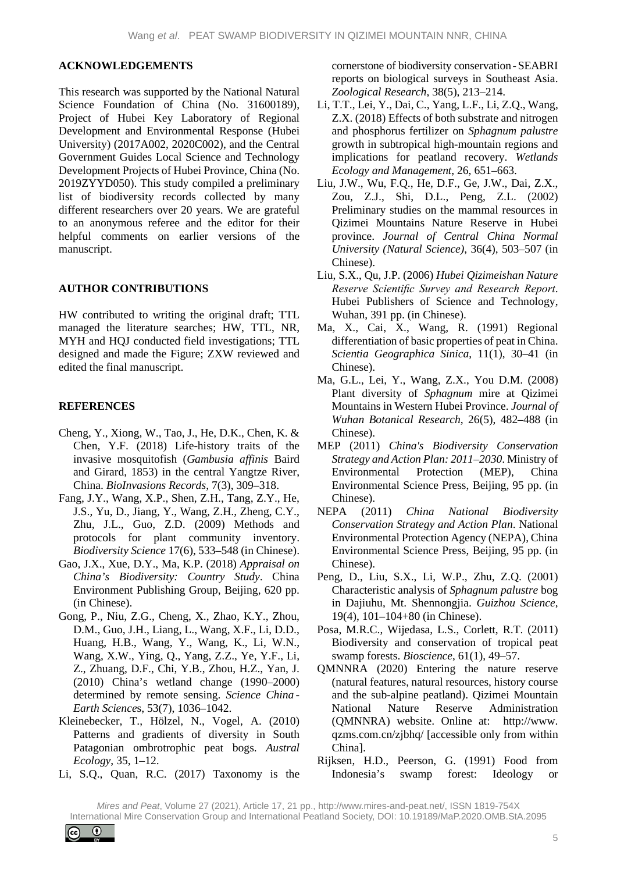#### **ACKNOWLEDGEMENTS**

This research was supported by the National Natural Science Foundation of China (No. 31600189), Project of Hubei Key Laboratory of Regional Development and Environmental Response (Hubei University) (2017A002, 2020C002), and the Central Government Guides Local Science and Technology Development Projects of Hubei Province, China (No. 2019ZYYD050). This study compiled a preliminary list of biodiversity records collected by many different researchers over 20 years. We are grateful to an anonymous referee and the editor for their helpful comments on earlier versions of the manuscript.

# **AUTHOR CONTRIBUTIONS**

HW contributed to writing the original draft; TTL managed the literature searches; HW, TTL, NR, MYH and HQJ conducted field investigations; TTL designed and made the Figure; ZXW reviewed and edited the final manuscript.

# **REFERENCES**

- Cheng, Y., Xiong, W., Tao, J., He, D.K., Chen, K. & Chen, Y.F. (2018) Life-history traits of the invasive mosquitofish (*Gambusia affinis* Baird and Girard, 1853) in the central Yangtze River, China. *BioInvasions Records*, 7(3), 309–318.
- Fang, J.Y., Wang, X.P., Shen, Z.H., Tang, Z.Y., He, J.S., Yu, D., Jiang, Y., Wang, Z.H., Zheng, C.Y., Zhu, J.L., Guo, Z.D. (2009) Methods and protocols for plant community inventory. *Biodiversity Science* 17(6), 533–548 (in Chinese).
- Gao, J.X., Xue, D.Y., Ma, K.P. (2018) *Appraisal on China's Biodiversity: Country Study*. China Environment Publishing Group, Beijing, 620 pp. (in Chinese).
- Gong, P., Niu, Z.G., Cheng, X., Zhao, K.Y., Zhou, D.M., Guo, J.H., Liang, L., Wang, X.F., Li, D.D., Huang, H.B., Wang, Y., Wang, K., Li, W.N., Wang, X.W., Ying, Q., Yang, Z.Z., Ye, Y.F., Li, Z., Zhuang, D.F., Chi, Y.B., Zhou, H.Z., Yan, J. (2010) China's wetland change (1990–2000) determined by remote sensing. *Science China - Earth Science*s, 53(7), 1036–1042.
- Kleinebecker, T., Hölzel, N., Vogel, A. (2010) Patterns and gradients of diversity in South Patagonian ombrotrophic peat bogs. *Austral Ecology*, 35, 1–12.
- Li, S.Q., Quan, R.C. (2017) Taxonomy is the

cornerstone of biodiversity conservation -SEABRI reports on biological surveys in Southeast Asia. *Zoological Research*, 38(5), 213–214.

- Li, T.T., Lei, Y., Dai, C., Yang, L.F., Li, Z.Q., Wang, Z.X. (2018) Effects of both substrate and nitrogen and phosphorus fertilizer on *Sphagnum palustre* growth in subtropical high-mountain regions and implications for peatland recovery. *Wetlands Ecology and Management*, 26, 651–663.
- Liu, J.W., Wu, F.Q., He, D.F., Ge, J.W., Dai, Z.X., Zou, Z.J., Shi, D.L., Peng, Z.L. (2002) Preliminary studies on the mammal resources in Qizimei Mountains Nature Reserve in Hubei province. *Journal of Central China Normal University (Natural Science)*, 36(4), 503–507 (in Chinese).
- Liu, S.X., Qu, J.P. (2006) *Hubei Qizimeishan Nature Reserve Scientific Survey and Research Report*. Hubei Publishers of Science and Technology, Wuhan, 391 pp. (in Chinese).
- Ma, X., Cai, X., Wang, R. (1991) Regional differentiation of basic properties of peat in China. *Scientia Geographica Sinica*, 11(1), 30–41 (in Chinese).
- Ma, G.L., Lei, Y., Wang, Z.X., You D.M. (2008) Plant diversity of *Sphagnum* mire at Qizimei Mountains in Western Hubei Province. *Journal of Wuhan Botanical Research*, 26(5), 482–488 (in Chinese).
- MEP (2011) *China's Biodiversity Conservation Strategy and Action Plan: 2011*–*2030*. Ministry of Environmental Protection (MEP), China Environmental Science Press, Beijing, 95 pp. (in Chinese).
- NEPA (2011) *China National Biodiversity Conservation Strategy and Action Plan*. National Environmental Protection Agency (NEPA), China Environmental Science Press, Beijing, 95 pp. (in Chinese).
- Peng, D., Liu, S.X., Li, W.P., Zhu, Z.Q. (2001) Characteristic analysis of *Sphagnum palustre* bog in Dajiuhu, Mt. Shennongjia. *Guizhou Science*, 19(4), 101–104+80 (in Chinese).
- Posa, M.R.C., Wijedasa, L.S., Corlett, R.T. (2011) Biodiversity and conservation of tropical peat swamp forests. *Bioscience*, 61(1), 49–57.
- QMNNRA (2020) Entering the nature reserve (natural features, natural resources, history course and the sub-alpine peatland). Qizimei Mountain National Nature Reserve Administration (QMNNRA) website. Online at: http://www. qzms.com.cn/zjbhq/ [accessible only from within China].
- Rijksen, H.D., Peerson, G. (1991) Food from Indonesia's swamp forest: Ideology or

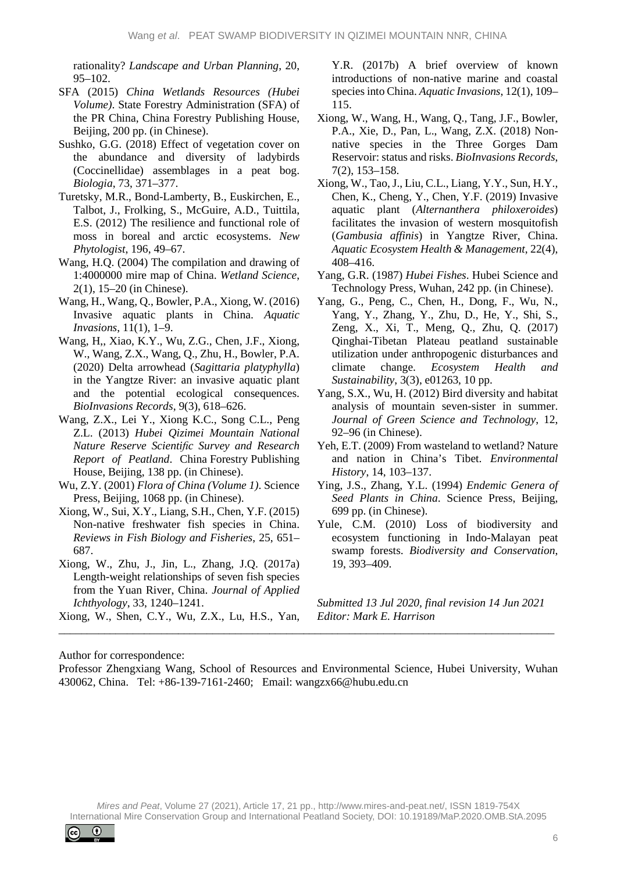rationality? *Landscape and Urban Planning*, 20, 95–102.

- SFA (2015) *China Wetlands Resources (Hubei Volume)*. State Forestry Administration (SFA) of the PR China, China Forestry Publishing House, Beijing, 200 pp. (in Chinese).
- Sushko, G.G. (2018) Effect of vegetation cover on the abundance and diversity of ladybirds (Coccinellidae) assemblages in a peat bog. *Biologia*, 73, 371–377.
- Turetsky, M.R., Bond-Lamberty, B., Euskirchen, E., Talbot, J., Frolking, S., McGuire, A.D., Tuittila, E.S. (2012) The resilience and functional role of moss in boreal and arctic ecosystems. *New Phytologist*, 196, 49–67.
- Wang, H.Q. (2004) The compilation and drawing of 1:4000000 mire map of China. *Wetland Science*, 2(1), 15–20 (in Chinese).
- Wang, H., Wang, Q., Bowler, P.A., Xiong, W. (2016) Invasive aquatic plants in China. *Aquatic Invasions*, 11(1), 1–9.
- Wang, H,, Xiao, K.Y., Wu, Z.G., Chen, J.F., Xiong, W., Wang, Z.X., Wang, Q., Zhu, H., Bowler, P.A. (2020) Delta arrowhead (*Sagittaria platyphylla*) in the Yangtze River: an invasive aquatic plant and the potential ecological consequences. *BioInvasions Records*, 9(3), 618–626.
- Wang, Z.X., Lei Y., Xiong K.C., Song C.L., Peng Z.L. (2013) *Hubei Qizimei Mountain National Nature Reserve Scientific Survey and Research Report of Peatland*. China Forestry Publishing House, Beijing, 138 pp. (in Chinese).
- Wu, Z.Y. (2001) *Flora of China (Volume 1)*. Science Press, Beijing, 1068 pp. (in Chinese).
- Xiong, W., Sui, X.Y., Liang, S.H., Chen, Y.F. (2015) Non-native freshwater fish species in China. *Reviews in Fish Biology and Fisheries*, 25, 651– 687.
- Xiong, W., Zhu, J., Jin, L., Zhang, J.Q. (2017a) Length-weight relationships of seven fish species from the Yuan River, China. *Journal of Applied Ichthyology*, 33, 1240–1241.

Xiong, W., Shen, C.Y., Wu, Z.X., Lu, H.S., Yan,

Y.R. (2017b) A brief overview of known introductions of non-native marine and coastal species into China. *Aquatic Invasions*, 12(1), 109– 115.

- Xiong, W., Wang, H., Wang, Q., Tang, J.F., Bowler, P.A., Xie, D., Pan, L., Wang, Z.X. (2018) Nonnative species in the Three Gorges Dam Reservoir: status and risks. *BioInvasions Records*, 7(2), 153–158.
- Xiong, W., Tao, J., Liu, C.L., Liang, Y.Y., Sun, H.Y., Chen, K., Cheng, Y., Chen, Y.F. (2019) Invasive aquatic plant (*Alternanthera philoxeroides*) facilitates the invasion of western mosquitofish (*Gambusia affinis*) in Yangtze River, China. *Aquatic Ecosystem Health & Management*, 22(4), 408–416.
- Yang, G.R. (1987) *Hubei Fishes*. Hubei Science and Technology Press, Wuhan, 242 pp. (in Chinese).
- Yang, G., Peng, C., Chen, H., Dong, F., Wu, N., Yang, Y., Zhang, Y., Zhu, D., He, Y., Shi, S., Zeng, X., Xi, T., Meng, Q., Zhu, Q. (2017) Qinghai-Tibetan Plateau peatland sustainable utilization under anthropogenic disturbances and climate change. *Ecosystem Health and Sustainability*, 3(3), e01263, 10 pp.
- Yang, S.X., Wu, H. (2012) Bird diversity and habitat analysis of mountain seven-sister in summer. *Journal of Green Science and Technology*, 12, 92–96 (in Chinese).
- Yeh, E.T. (2009) From wasteland to wetland? Nature and nation in China's Tibet. *Environmental History*, 14, 103–137.
- Ying, J.S., Zhang, Y.L. (1994) *Endemic Genera of Seed Plants in China*. Science Press, Beijing, 699 pp. (in Chinese).
- Yule, C.M. (2010) Loss of biodiversity and ecosystem functioning in Indo-Malayan peat swamp forests. *Biodiversity and Conservation*, 19, 393–409.

*Submitted 13 Jul 2020, final revision 14 Jun 2021 Editor: Mark E. Harrison*

Author for correspondence:

Professor Zhengxiang Wang, School of Resources and Environmental Science, Hubei University, Wuhan 430062, China. Tel: +86-139-7161-2460; Email: wangzx66@hubu.edu.cn

\_\_\_\_\_\_\_\_\_\_\_\_\_\_\_\_\_\_\_\_\_\_\_\_\_\_\_\_\_\_\_\_\_\_\_\_\_\_\_\_\_\_\_\_\_\_\_\_\_\_\_\_\_\_\_\_\_\_\_\_\_\_\_\_\_\_\_\_\_\_\_\_\_\_\_\_\_\_\_\_\_\_\_\_\_\_\_

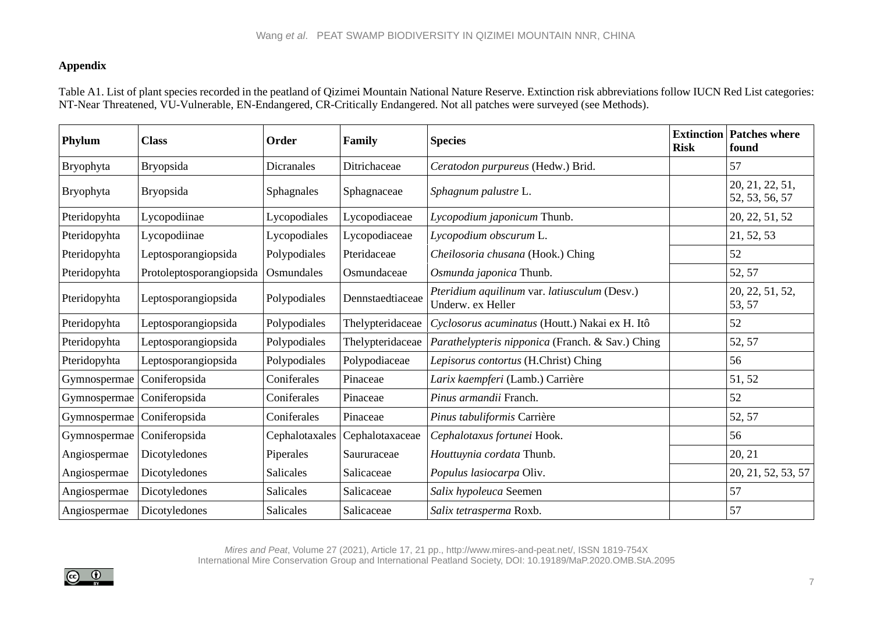# **Appendix**

Table A1. List of plant species recorded in the peatland of Qizimei Mountain National Nature Reserve. Extinction risk abbreviations follow IUCN Red List categories: NT-Near Threatened, VU-Vulnerable, EN-Endangered, CR-Critically Endangered. Not all patches were surveyed (see Methods).

| Phylum       | <b>Class</b>             | Order             | Family           | <b>Species</b>                                                    | <b>Risk</b> | <b>Extinction Patches where</b><br>found |
|--------------|--------------------------|-------------------|------------------|-------------------------------------------------------------------|-------------|------------------------------------------|
| Bryophyta    | Bryopsida                | <b>Dicranales</b> | Ditrichaceae     | Ceratodon purpureus (Hedw.) Brid.                                 |             | 57                                       |
| Bryophyta    | Bryopsida                | Sphagnales        | Sphagnaceae      | Sphagnum palustre L.                                              |             | 20, 21, 22, 51,<br>52, 53, 56, 57        |
| Pteridopyhta | Lycopodiinae             | Lycopodiales      | Lycopodiaceae    | Lycopodium japonicum Thunb.                                       |             | 20, 22, 51, 52                           |
| Pteridopyhta | Lycopodiinae             | Lycopodiales      | Lycopodiaceae    | Lycopodium obscurum L.                                            |             | 21, 52, 53                               |
| Pteridopyhta | Leptosporangiopsida      | Polypodiales      | Pteridaceae      | Cheilosoria chusana (Hook.) Ching                                 |             | 52                                       |
| Pteridopyhta | Protoleptosporangiopsida | Osmundales        | Osmundaceae      | Osmunda japonica Thunb.                                           |             | 52, 57                                   |
| Pteridopyhta | Leptosporangiopsida      | Polypodiales      | Dennstaedtiaceae | Pteridium aquilinum var. latiusculum (Desv.)<br>Underw. ex Heller |             | 20, 22, 51, 52,<br>53, 57                |
| Pteridopyhta | Leptosporangiopsida      | Polypodiales      | Thelypteridaceae | Cyclosorus acuminatus (Houtt.) Nakai ex H. Itô                    |             | 52                                       |
| Pteridopyhta | Leptosporangiopsida      | Polypodiales      | Thelypteridaceae | Parathelypteris nipponica (Franch. & Sav.) Ching                  |             | 52, 57                                   |
| Pteridopyhta | Leptosporangiopsida      | Polypodiales      | Polypodiaceae    | Lepisorus contortus (H.Christ) Ching                              |             | 56                                       |
| Gymnospermae | Coniferopsida            | Coniferales       | Pinaceae         | Larix kaempferi (Lamb.) Carrière                                  |             | 51, 52                                   |
| Gymnospermae | Coniferopsida            | Coniferales       | Pinaceae         | Pinus armandii Franch.                                            |             | 52                                       |
| Gymnospermae | Coniferopsida            | Coniferales       | Pinaceae         | Pinus tabuliformis Carrière                                       |             | 52, 57                                   |
| Gymnospermae | Coniferopsida            | Cephalotaxales    | Cephalotaxaceae  | Cephalotaxus fortunei Hook.                                       |             | 56                                       |
| Angiospermae | Dicotyledones            | Piperales         | Saururaceae      | Houttuynia cordata Thunb.                                         |             | 20, 21                                   |
| Angiospermae | Dicotyledones            | <b>Salicales</b>  | Salicaceae       | Populus lasiocarpa Oliv.                                          |             | 20, 21, 52, 53, 57                       |
| Angiospermae | Dicotyledones            | Salicales         | Salicaceae       | Salix hypoleuca Seemen                                            |             | 57                                       |
| Angiospermae | Dicotyledones            | <b>Salicales</b>  | Salicaceae       | Salix tetrasperma Roxb.                                           |             | 57                                       |

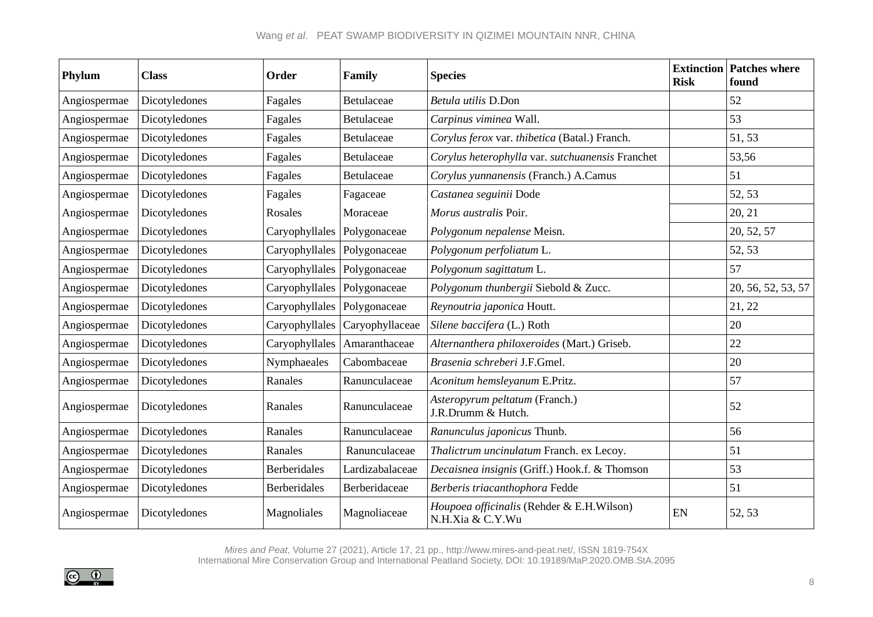| Phylum       | <b>Class</b>  | <b>Order</b>        | Family          | <b>Species</b>                                                | <b>Risk</b> | <b>Extinction Patches where</b><br>found |
|--------------|---------------|---------------------|-----------------|---------------------------------------------------------------|-------------|------------------------------------------|
| Angiospermae | Dicotyledones | Fagales             | Betulaceae      | Betula utilis D.Don                                           |             | 52                                       |
| Angiospermae | Dicotyledones | Fagales             | Betulaceae      | Carpinus viminea Wall.                                        |             | 53                                       |
| Angiospermae | Dicotyledones | Fagales             | Betulaceae      | Corylus ferox var. thibetica (Batal.) Franch.                 |             | 51, 53                                   |
| Angiospermae | Dicotyledones | Fagales             | Betulaceae      | Corylus heterophylla var. sutchuanensis Franchet              |             | 53,56                                    |
| Angiospermae | Dicotyledones | Fagales             | Betulaceae      | Corylus yunnanensis (Franch.) A.Camus                         |             | 51                                       |
| Angiospermae | Dicotyledones | Fagales             | Fagaceae        | Castanea seguinii Dode                                        |             | 52, 53                                   |
| Angiospermae | Dicotyledones | Rosales             | Moraceae        | Morus australis Poir.                                         |             | 20, 21                                   |
| Angiospermae | Dicotyledones | Caryophyllales      | Polygonaceae    | Polygonum nepalense Meisn.                                    |             | 20, 52, 57                               |
| Angiospermae | Dicotyledones | Caryophyllales      | Polygonaceae    | Polygonum perfoliatum L.                                      |             | 52, 53                                   |
| Angiospermae | Dicotyledones | Caryophyllales      | Polygonaceae    | Polygonum sagittatum L.                                       |             | 57                                       |
| Angiospermae | Dicotyledones | Caryophyllales      | Polygonaceae    | Polygonum thunbergii Siebold & Zucc.                          |             | 20, 56, 52, 53, 57                       |
| Angiospermae | Dicotyledones | Caryophyllales      | Polygonaceae    | Reynoutria japonica Houtt.                                    |             | 21, 22                                   |
| Angiospermae | Dicotyledones | Caryophyllales      | Caryophyllaceae | Silene baccifera (L.) Roth                                    |             | 20                                       |
| Angiospermae | Dicotyledones | Caryophyllales      | Amaranthaceae   | Alternanthera philoxeroides (Mart.) Griseb.                   |             | 22                                       |
| Angiospermae | Dicotyledones | Nymphaeales         | Cabombaceae     | Brasenia schreberi J.F.Gmel.                                  |             | 20                                       |
| Angiospermae | Dicotyledones | Ranales             | Ranunculaceae   | Aconitum hemsleyanum E.Pritz.                                 |             | 57                                       |
| Angiospermae | Dicotyledones | Ranales             | Ranunculaceae   | Asteropyrum peltatum (Franch.)<br>J.R.Drumm & Hutch.          |             | 52                                       |
| Angiospermae | Dicotyledones | Ranales             | Ranunculaceae   | Ranunculus japonicus Thunb.                                   |             | 56                                       |
| Angiospermae | Dicotyledones | Ranales             | Ranunculaceae   | Thalictrum uncinulatum Franch. ex Lecoy.                      |             | 51                                       |
| Angiospermae | Dicotyledones | <b>Berberidales</b> | Lardizabalaceae | Decaisnea insignis (Griff.) Hook.f. & Thomson                 |             | 53                                       |
| Angiospermae | Dicotyledones | <b>Berberidales</b> | Berberidaceae   | Berberis triacanthophora Fedde                                |             | 51                                       |
| Angiospermae | Dicotyledones | Magnoliales         | Magnoliaceae    | Houpoea officinalis (Rehder & E.H.Wilson)<br>N.H.Xia & C.Y.Wu | EN          | 52, 53                                   |

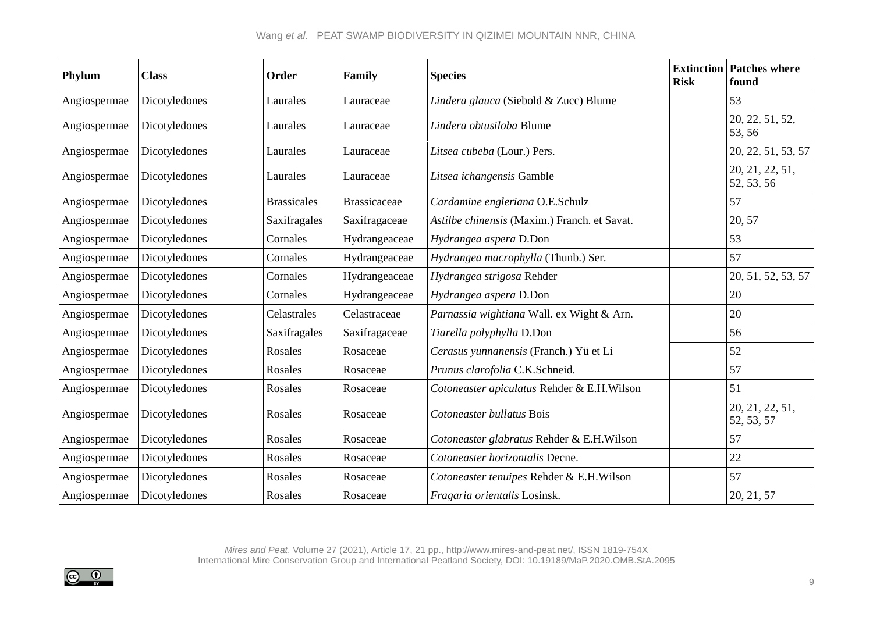# Wang *et al*. PEAT SWAMP BIODIVERSITY IN QIZIMEI MOUNTAIN NNR, CHINA

| Phylum       | <b>Class</b>  | Order              | Family              | <b>Species</b>                               | <b>Risk</b> | <b>Extinction Patches where</b><br>found |
|--------------|---------------|--------------------|---------------------|----------------------------------------------|-------------|------------------------------------------|
| Angiospermae | Dicotyledones | Laurales           | Lauraceae           | Lindera glauca (Siebold & Zucc) Blume        |             | 53                                       |
| Angiospermae | Dicotyledones | Laurales           | Lauraceae           | Lindera obtusiloba Blume                     |             | 20, 22, 51, 52,<br>53, 56                |
| Angiospermae | Dicotyledones | Laurales           | Lauraceae           | Litsea cubeba (Lour.) Pers.                  |             | 20, 22, 51, 53, 57                       |
| Angiospermae | Dicotyledones | Laurales           | Lauraceae           | Litsea ichangensis Gamble                    |             | 20, 21, 22, 51,<br>52, 53, 56            |
| Angiospermae | Dicotyledones | <b>Brassicales</b> | <b>Brassicaceae</b> | Cardamine engleriana O.E.Schulz              |             | 57                                       |
| Angiospermae | Dicotyledones | Saxifragales       | Saxifragaceae       | Astilbe chinensis (Maxim.) Franch. et Savat. |             | 20, 57                                   |
| Angiospermae | Dicotyledones | Cornales           | Hydrangeaceae       | Hydrangea aspera D.Don                       |             | 53                                       |
| Angiospermae | Dicotyledones | Cornales           | Hydrangeaceae       | Hydrangea macrophylla (Thunb.) Ser.          |             | 57                                       |
| Angiospermae | Dicotyledones | Cornales           | Hydrangeaceae       | Hydrangea strigosa Rehder                    |             | 20, 51, 52, 53, 57                       |
| Angiospermae | Dicotyledones | Cornales           | Hydrangeaceae       | Hydrangea aspera D.Don                       |             | 20                                       |
| Angiospermae | Dicotyledones | Celastrales        | Celastraceae        | Parnassia wightiana Wall. ex Wight & Arn.    |             | 20                                       |
| Angiospermae | Dicotyledones | Saxifragales       | Saxifragaceae       | Tiarella polyphylla D.Don                    |             | 56                                       |
| Angiospermae | Dicotyledones | Rosales            | Rosaceae            | Cerasus yunnanensis (Franch.) Yü et Li       |             | 52                                       |
| Angiospermae | Dicotyledones | Rosales            | Rosaceae            | Prunus clarofolia C.K.Schneid.               |             | 57                                       |
| Angiospermae | Dicotyledones | Rosales            | Rosaceae            | Cotoneaster apiculatus Rehder & E.H.Wilson   |             | 51                                       |
| Angiospermae | Dicotyledones | Rosales            | Rosaceae            | Cotoneaster bullatus Bois                    |             | 20, 21, 22, 51,<br>52, 53, 57            |
| Angiospermae | Dicotyledones | Rosales            | Rosaceae            | Cotoneaster glabratus Rehder & E.H.Wilson    |             | 57                                       |
| Angiospermae | Dicotyledones | Rosales            | Rosaceae            | Cotoneaster horizontalis Decne.              |             | 22                                       |
| Angiospermae | Dicotyledones | Rosales            | Rosaceae            | Cotoneaster tenuipes Rehder & E.H.Wilson     |             | 57                                       |
| Angiospermae | Dicotyledones | Rosales            | Rosaceae            | Fragaria orientalis Losinsk.                 |             | 20, 21, 57                               |

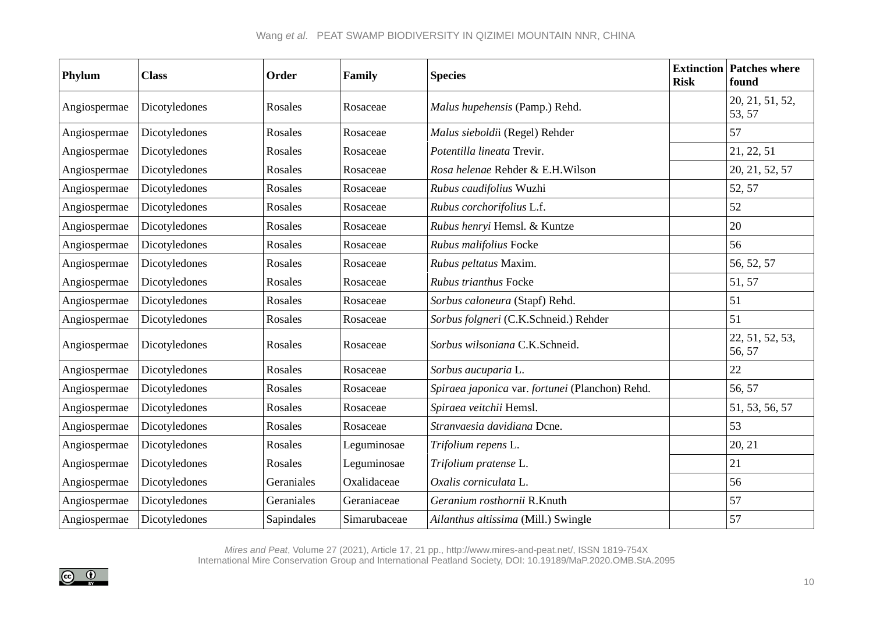| Phylum       | <b>Class</b>  | Order      | Family       | <b>Species</b>                                  | <b>Risk</b> | <b>Extinction Patches where</b><br>found |
|--------------|---------------|------------|--------------|-------------------------------------------------|-------------|------------------------------------------|
| Angiospermae | Dicotyledones | Rosales    | Rosaceae     | Malus hupehensis (Pamp.) Rehd.                  |             | 20, 21, 51, 52,<br>53, 57                |
| Angiospermae | Dicotyledones | Rosales    | Rosaceae     | Malus sieboldii (Regel) Rehder                  |             | 57                                       |
| Angiospermae | Dicotyledones | Rosales    | Rosaceae     | Potentilla lineata Trevir.                      |             | 21, 22, 51                               |
| Angiospermae | Dicotyledones | Rosales    | Rosaceae     | Rosa helenae Rehder & E.H.Wilson                |             | 20, 21, 52, 57                           |
| Angiospermae | Dicotyledones | Rosales    | Rosaceae     | Rubus caudifolius Wuzhi                         |             | 52, 57                                   |
| Angiospermae | Dicotyledones | Rosales    | Rosaceae     | Rubus corchorifolius L.f.                       |             | 52                                       |
| Angiospermae | Dicotyledones | Rosales    | Rosaceae     | Rubus henryi Hemsl. & Kuntze                    |             | 20                                       |
| Angiospermae | Dicotyledones | Rosales    | Rosaceae     | Rubus malifolius Focke                          |             | 56                                       |
| Angiospermae | Dicotyledones | Rosales    | Rosaceae     | Rubus peltatus Maxim.                           |             | 56, 52, 57                               |
| Angiospermae | Dicotyledones | Rosales    | Rosaceae     | Rubus trianthus Focke                           |             | 51, 57                                   |
| Angiospermae | Dicotyledones | Rosales    | Rosaceae     | Sorbus caloneura (Stapf) Rehd.                  |             | 51                                       |
| Angiospermae | Dicotyledones | Rosales    | Rosaceae     | Sorbus folgneri (C.K.Schneid.) Rehder           |             | 51                                       |
| Angiospermae | Dicotyledones | Rosales    | Rosaceae     | Sorbus wilsoniana C.K.Schneid.                  |             | 22, 51, 52, 53,<br>56, 57                |
| Angiospermae | Dicotyledones | Rosales    | Rosaceae     | Sorbus aucuparia L.                             |             | 22                                       |
| Angiospermae | Dicotyledones | Rosales    | Rosaceae     | Spiraea japonica var. fortunei (Planchon) Rehd. |             | 56, 57                                   |
| Angiospermae | Dicotyledones | Rosales    | Rosaceae     | Spiraea veitchii Hemsl.                         |             | 51, 53, 56, 57                           |
| Angiospermae | Dicotyledones | Rosales    | Rosaceae     | Stranvaesia davidiana Dcne.                     |             | 53                                       |
| Angiospermae | Dicotyledones | Rosales    | Leguminosae  | Trifolium repens L.                             |             | 20, 21                                   |
| Angiospermae | Dicotyledones | Rosales    | Leguminosae  | Trifolium pratense L.                           |             | 21                                       |
| Angiospermae | Dicotyledones | Geraniales | Oxalidaceae  | Oxalis corniculata L.                           |             | 56                                       |
| Angiospermae | Dicotyledones | Geraniales | Geraniaceae  | Geranium rosthornii R.Knuth                     |             | 57                                       |
| Angiospermae | Dicotyledones | Sapindales | Simarubaceae | Ailanthus altissima (Mill.) Swingle             |             | 57                                       |

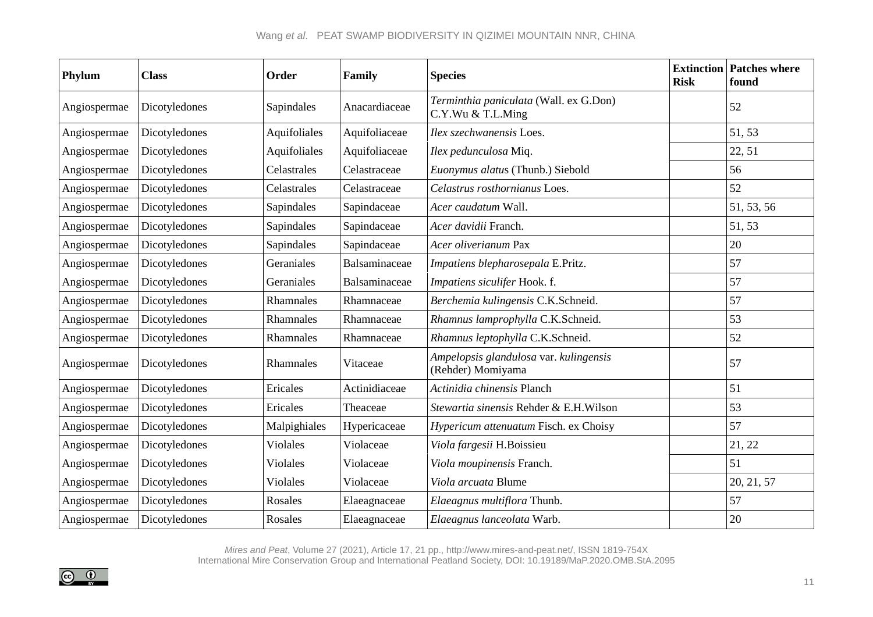| Phylum       | <b>Class</b>  | <b>Order</b>    | Family        | <b>Species</b>                                              | <b>Risk</b> | <b>Extinction Patches where</b><br>found |
|--------------|---------------|-----------------|---------------|-------------------------------------------------------------|-------------|------------------------------------------|
| Angiospermae | Dicotyledones | Sapindales      | Anacardiaceae | Terminthia paniculata (Wall. ex G.Don)<br>C.Y.Wu & T.L.Ming |             | 52                                       |
| Angiospermae | Dicotyledones | Aquifoliales    | Aquifoliaceae | Ilex szechwanensis Loes.                                    |             | 51, 53                                   |
| Angiospermae | Dicotyledones | Aquifoliales    | Aquifoliaceae | Ilex pedunculosa Miq.                                       |             | 22, 51                                   |
| Angiospermae | Dicotyledones | Celastrales     | Celastraceae  | Euonymus alatus (Thunb.) Siebold                            |             | 56                                       |
| Angiospermae | Dicotyledones | Celastrales     | Celastraceae  | Celastrus rosthornianus Loes.                               |             | 52                                       |
| Angiospermae | Dicotyledones | Sapindales      | Sapindaceae   | Acer caudatum Wall.                                         |             | 51, 53, 56                               |
| Angiospermae | Dicotyledones | Sapindales      | Sapindaceae   | Acer davidii Franch.                                        |             | 51, 53                                   |
| Angiospermae | Dicotyledones | Sapindales      | Sapindaceae   | Acer oliverianum Pax                                        |             | 20                                       |
| Angiospermae | Dicotyledones | Geraniales      | Balsaminaceae | Impatiens blepharosepala E.Pritz.                           |             | 57                                       |
| Angiospermae | Dicotyledones | Geraniales      | Balsaminaceae | Impatiens siculifer Hook. f.                                |             | 57                                       |
| Angiospermae | Dicotyledones | Rhamnales       | Rhamnaceae    | Berchemia kulingensis C.K.Schneid.                          |             | 57                                       |
| Angiospermae | Dicotyledones | Rhamnales       | Rhamnaceae    | Rhamnus lamprophylla C.K.Schneid.                           |             | 53                                       |
| Angiospermae | Dicotyledones | Rhamnales       | Rhamnaceae    | Rhamnus leptophylla C.K.Schneid.                            |             | 52                                       |
| Angiospermae | Dicotyledones | Rhamnales       | Vitaceae      | Ampelopsis glandulosa var. kulingensis<br>(Rehder) Momiyama |             | 57                                       |
| Angiospermae | Dicotyledones | Ericales        | Actinidiaceae | Actinidia chinensis Planch                                  |             | 51                                       |
| Angiospermae | Dicotyledones | Ericales        | Theaceae      | Stewartia sinensis Rehder & E.H.Wilson                      |             | 53                                       |
| Angiospermae | Dicotyledones | Malpighiales    | Hypericaceae  | Hypericum attenuatum Fisch. ex Choisy                       |             | 57                                       |
| Angiospermae | Dicotyledones | <b>Violales</b> | Violaceae     | Viola fargesii H.Boissieu                                   |             | 21, 22                                   |
| Angiospermae | Dicotyledones | <b>Violales</b> | Violaceae     | Viola moupinensis Franch.                                   |             | 51                                       |
| Angiospermae | Dicotyledones | <b>Violales</b> | Violaceae     | Viola arcuata Blume                                         |             | 20, 21, 57                               |
| Angiospermae | Dicotyledones | Rosales         | Elaeagnaceae  | Elaeagnus multiflora Thunb.                                 |             | 57                                       |
| Angiospermae | Dicotyledones | Rosales         | Elaeagnaceae  | Elaeagnus lanceolata Warb.                                  |             | 20                                       |

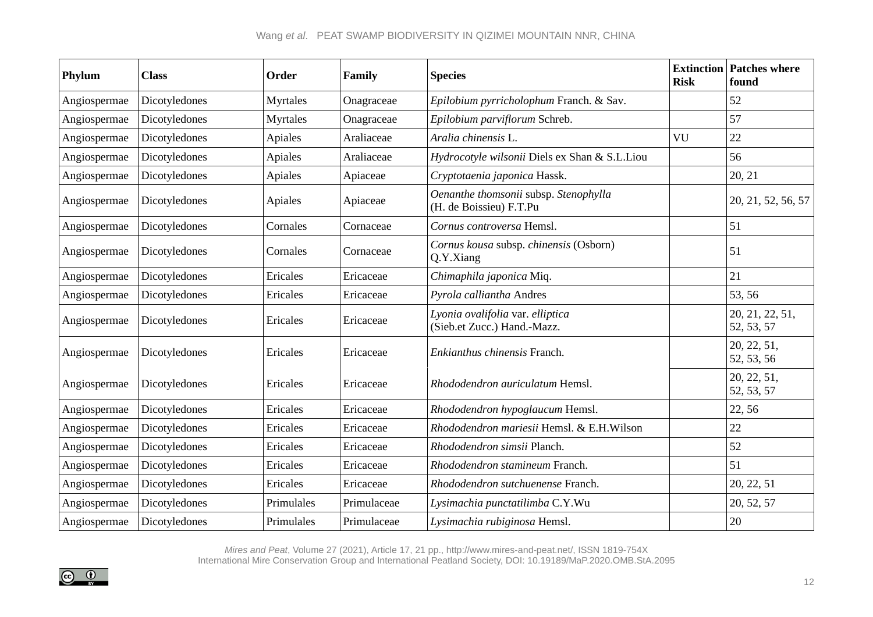| Phylum       | <b>Class</b>  | Order      | Family      | <b>Species</b>                                                   | <b>Risk</b> | <b>Extinction Patches where</b><br>found |
|--------------|---------------|------------|-------------|------------------------------------------------------------------|-------------|------------------------------------------|
| Angiospermae | Dicotyledones | Myrtales   | Onagraceae  | Epilobium pyrricholophum Franch. & Sav.                          |             | 52                                       |
| Angiospermae | Dicotyledones | Myrtales   | Onagraceae  | Epilobium parviflorum Schreb.                                    |             | 57                                       |
| Angiospermae | Dicotyledones | Apiales    | Araliaceae  | Aralia chinensis L.                                              | VU          | 22                                       |
| Angiospermae | Dicotyledones | Apiales    | Araliaceae  | Hydrocotyle wilsonii Diels ex Shan & S.L.Liou                    |             | 56                                       |
| Angiospermae | Dicotyledones | Apiales    | Apiaceae    | Cryptotaenia japonica Hassk.                                     |             | 20, 21                                   |
| Angiospermae | Dicotyledones | Apiales    | Apiaceae    | Oenanthe thomsonii subsp. Stenophylla<br>(H. de Boissieu) F.T.Pu |             | 20, 21, 52, 56, 57                       |
| Angiospermae | Dicotyledones | Cornales   | Cornaceae   | Cornus controversa Hemsl.                                        |             | 51                                       |
| Angiospermae | Dicotyledones | Cornales   | Cornaceae   | Cornus kousa subsp. chinensis (Osborn)<br>Q.Y.Xiang              |             | 51                                       |
| Angiospermae | Dicotyledones | Ericales   | Ericaceae   | Chimaphila japonica Miq.                                         |             | 21                                       |
| Angiospermae | Dicotyledones | Ericales   | Ericaceae   | Pyrola calliantha Andres                                         |             | 53, 56                                   |
| Angiospermae | Dicotyledones | Ericales   | Ericaceae   | Lyonia ovalifolia var. elliptica<br>(Sieb.et Zucc.) Hand.-Mazz.  |             | 20, 21, 22, 51,<br>52, 53, 57            |
| Angiospermae | Dicotyledones | Ericales   | Ericaceae   | Enkianthus chinensis Franch.                                     |             | 20, 22, 51,<br>52, 53, 56                |
| Angiospermae | Dicotyledones | Ericales   | Ericaceae   | Rhododendron auriculatum Hemsl.                                  |             | 20, 22, 51,<br>52, 53, 57                |
| Angiospermae | Dicotyledones | Ericales   | Ericaceae   | Rhododendron hypoglaucum Hemsl.                                  |             | 22, 56                                   |
| Angiospermae | Dicotyledones | Ericales   | Ericaceae   | Rhododendron mariesii Hemsl. & E.H.Wilson                        |             | 22                                       |
| Angiospermae | Dicotyledones | Ericales   | Ericaceae   | Rhododendron simsii Planch.                                      |             | 52                                       |
| Angiospermae | Dicotyledones | Ericales   | Ericaceae   | Rhododendron stamineum Franch.                                   |             | 51                                       |
| Angiospermae | Dicotyledones | Ericales   | Ericaceae   | Rhododendron sutchuenense Franch.                                |             | 20, 22, 51                               |
| Angiospermae | Dicotyledones | Primulales | Primulaceae | Lysimachia punctatilimba C.Y.Wu                                  |             | 20, 52, 57                               |
| Angiospermae | Dicotyledones | Primulales | Primulaceae | Lysimachia rubiginosa Hemsl.                                     |             | $20\,$                                   |

*Mires and Peat*, Volume 27 (2021), Article 17, 21 pp., http://www.mires-and-peat.net/, ISSN 1819-754X

International Mire Conservation Group and International Peatland Society, DOI: 10.19189/MaP.2020.OMB.StA.2095

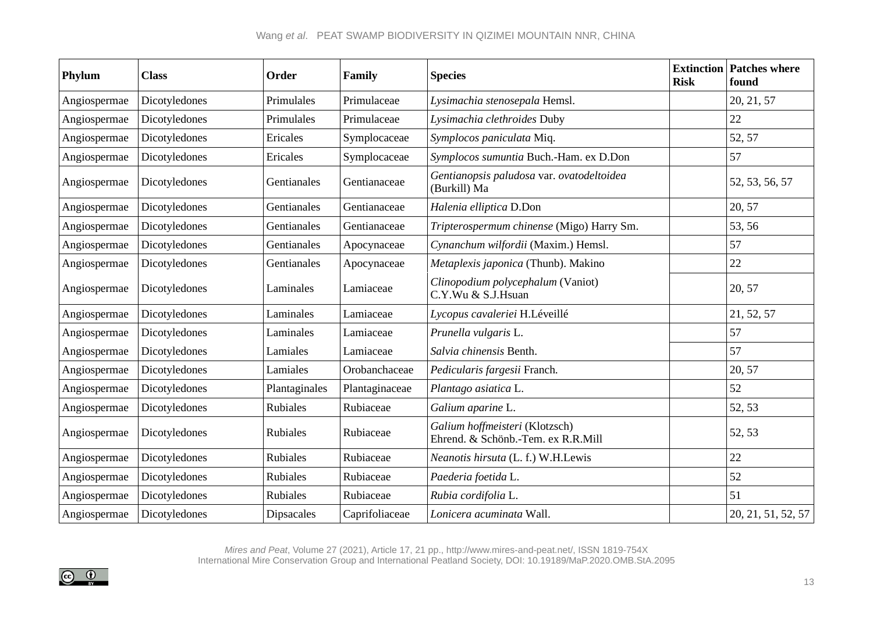| Phylum       | <b>Class</b>  | Order             | Family         | <b>Species</b>                                                       | <b>Risk</b> | <b>Extinction Patches where</b><br>found |
|--------------|---------------|-------------------|----------------|----------------------------------------------------------------------|-------------|------------------------------------------|
| Angiospermae | Dicotyledones | Primulales        | Primulaceae    | Lysimachia stenosepala Hemsl.                                        |             | 20, 21, 57                               |
| Angiospermae | Dicotyledones | Primulales        | Primulaceae    | Lysimachia clethroides Duby                                          |             | 22                                       |
| Angiospermae | Dicotyledones | Ericales          | Symplocaceae   | Symplocos paniculata Miq.                                            |             | 52, 57                                   |
| Angiospermae | Dicotyledones | Ericales          | Symplocaceae   | Symplocos sumuntia Buch.-Ham. ex D.Don                               |             | 57                                       |
| Angiospermae | Dicotyledones | Gentianales       | Gentianaceae   | Gentianopsis paludosa var. ovatodeltoidea<br>(Burkill) Ma            |             | 52, 53, 56, 57                           |
| Angiospermae | Dicotyledones | Gentianales       | Gentianaceae   | Halenia elliptica D.Don                                              |             | 20, 57                                   |
| Angiospermae | Dicotyledones | Gentianales       | Gentianaceae   | Tripterospermum chinense (Migo) Harry Sm.                            |             | 53, 56                                   |
| Angiospermae | Dicotyledones | Gentianales       | Apocynaceae    | Cynanchum wilfordii (Maxim.) Hemsl.                                  |             | 57                                       |
| Angiospermae | Dicotyledones | Gentianales       | Apocynaceae    | Metaplexis japonica (Thunb). Makino                                  |             | 22                                       |
| Angiospermae | Dicotyledones | Laminales         | Lamiaceae      | Clinopodium polycephalum (Vaniot)<br>C.Y.Wu & S.J.Hsuan              |             | 20, 57                                   |
| Angiospermae | Dicotyledones | Laminales         | Lamiaceae      | Lycopus cavaleriei H.Léveillé                                        |             | 21, 52, 57                               |
| Angiospermae | Dicotyledones | Laminales         | Lamiaceae      | Prunella vulgaris L.                                                 |             | 57                                       |
| Angiospermae | Dicotyledones | Lamiales          | Lamiaceae      | Salvia chinensis Benth.                                              |             | 57                                       |
| Angiospermae | Dicotyledones | Lamiales          | Orobanchaceae  | Pedicularis fargesii Franch.                                         |             | 20, 57                                   |
| Angiospermae | Dicotyledones | Plantaginales     | Plantaginaceae | Plantago asiatica L.                                                 |             | 52                                       |
| Angiospermae | Dicotyledones | <b>Rubiales</b>   | Rubiaceae      | Galium aparine L.                                                    |             | 52, 53                                   |
| Angiospermae | Dicotyledones | Rubiales          | Rubiaceae      | Galium hoffmeisteri (Klotzsch)<br>Ehrend. & Schönb.-Tem. ex R.R.Mill |             | 52, 53                                   |
| Angiospermae | Dicotyledones | <b>Rubiales</b>   | Rubiaceae      | Neanotis hirsuta (L. f.) W.H.Lewis                                   |             | 22                                       |
| Angiospermae | Dicotyledones | <b>Rubiales</b>   | Rubiaceae      | Paederia foetida L.                                                  |             | 52                                       |
| Angiospermae | Dicotyledones | <b>Rubiales</b>   | Rubiaceae      | Rubia cordifolia L.                                                  |             | 51                                       |
| Angiospermae | Dicotyledones | <b>Dipsacales</b> | Caprifoliaceae | Lonicera acuminata Wall.                                             |             | 20, 21, 51, 52, 57                       |

*Mires and Peat*, Volume 27 (2021), Article 17, 21 pp., http://www.mires-and-peat.net/, ISSN 1819-754X



International Mire Conservation Group and International Peatland Society, DOI: 10.19189/MaP.2020.OMB.StA.2095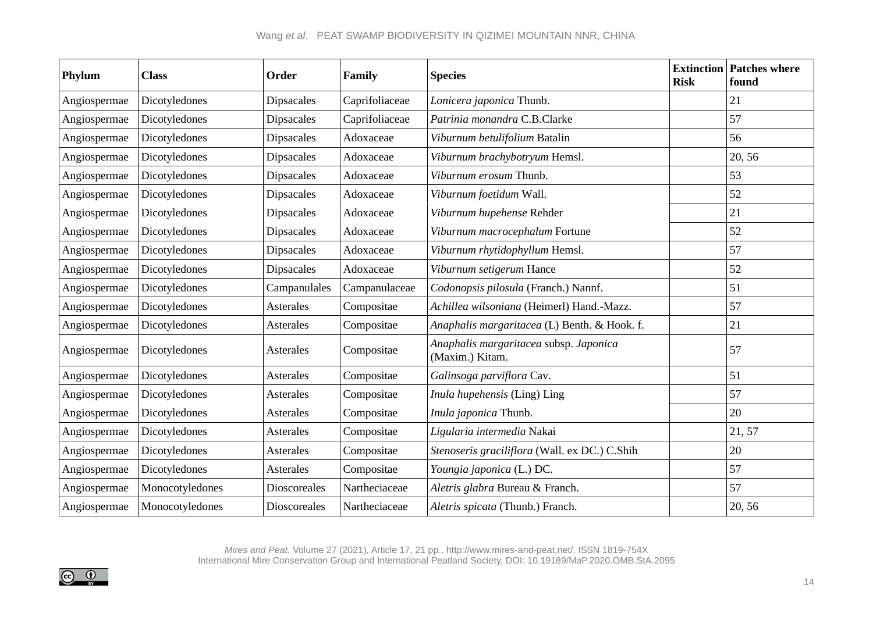| Phylum       | <b>Class</b>    | Order             | Family         | <b>Species</b>                                            | <b>Risk</b> | <b>Extinction Patches where</b><br>found |
|--------------|-----------------|-------------------|----------------|-----------------------------------------------------------|-------------|------------------------------------------|
| Angiospermae | Dicotyledones   | Dipsacales        | Caprifoliaceae | Lonicera japonica Thunb.                                  |             | 21                                       |
| Angiospermae | Dicotyledones   | <b>Dipsacales</b> | Caprifoliaceae | Patrinia monandra C.B.Clarke                              |             | 57                                       |
| Angiospermae | Dicotyledones   | Dipsacales        | Adoxaceae      | Viburnum betulifolium Batalin                             |             | 56                                       |
| Angiospermae | Dicotyledones   | <b>Dipsacales</b> | Adoxaceae      | Viburnum brachybotryum Hemsl.                             |             | 20, 56                                   |
| Angiospermae | Dicotyledones   | Dipsacales        | Adoxaceae      | Viburnum erosum Thunb.                                    |             | 53                                       |
| Angiospermae | Dicotyledones   | <b>Dipsacales</b> | Adoxaceae      | Viburnum foetidum Wall.                                   |             | 52                                       |
| Angiospermae | Dicotyledones   | <b>Dipsacales</b> | Adoxaceae      | Viburnum hupehense Rehder                                 |             | 21                                       |
| Angiospermae | Dicotyledones   | <b>Dipsacales</b> | Adoxaceae      | Viburnum macrocephalum Fortune                            |             | 52                                       |
| Angiospermae | Dicotyledones   | <b>Dipsacales</b> | Adoxaceae      | Viburnum rhytidophyllum Hemsl.                            |             | 57                                       |
| Angiospermae | Dicotyledones   | <b>Dipsacales</b> | Adoxaceae      | Viburnum setigerum Hance                                  |             | 52                                       |
| Angiospermae | Dicotyledones   | Campanulales      | Campanulaceae  | Codonopsis pilosula (Franch.) Nannf.                      |             | 51                                       |
| Angiospermae | Dicotyledones   | Asterales         | Compositae     | Achillea wilsoniana (Heimerl) Hand.-Mazz.                 |             | 57                                       |
| Angiospermae | Dicotyledones   | Asterales         | Compositae     | Anaphalis margaritacea (L) Benth. & Hook. f.              |             | 21                                       |
| Angiospermae | Dicotyledones   | Asterales         | Compositae     | Anaphalis margaritacea subsp. Japonica<br>(Maxim.) Kitam. |             | 57                                       |
| Angiospermae | Dicotyledones   | Asterales         | Compositae     | Galinsoga parviflora Cav.                                 |             | 51                                       |
| Angiospermae | Dicotyledones   | Asterales         | Compositae     | Inula hupehensis (Ling) Ling                              |             | 57                                       |
| Angiospermae | Dicotyledones   | Asterales         | Compositae     | Inula japonica Thunb.                                     |             | 20                                       |
| Angiospermae | Dicotyledones   | Asterales         | Compositae     | Ligularia intermedia Nakai                                |             | 21, 57                                   |
| Angiospermae | Dicotyledones   | Asterales         | Compositae     | Stenoseris graciliflora (Wall. ex DC.) C.Shih             |             | 20                                       |
| Angiospermae | Dicotyledones   | Asterales         | Compositae     | Youngia japonica (L.) DC.                                 |             | 57                                       |
| Angiospermae | Monocotyledones | Dioscoreales      | Nartheciaceae  | Aletris glabra Bureau & Franch.                           |             | 57                                       |
| Angiospermae | Monocotyledones | Dioscoreales      | Nartheciaceae  | Aletris spicata (Thunb.) Franch.                          |             | 20, 56                                   |

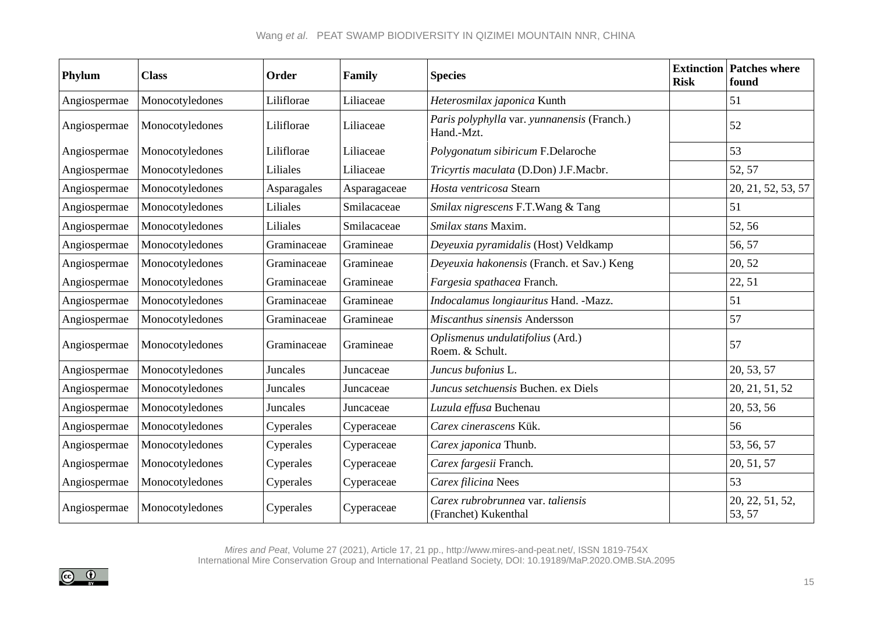| Phylum       | <b>Class</b>    | Order       | Family       | <b>Species</b>                                            | <b>Risk</b> | <b>Extinction Patches where</b><br>found |
|--------------|-----------------|-------------|--------------|-----------------------------------------------------------|-------------|------------------------------------------|
| Angiospermae | Monocotyledones | Liliflorae  | Liliaceae    | Heterosmilax japonica Kunth                               |             | 51                                       |
| Angiospermae | Monocotyledones | Liliflorae  | Liliaceae    | Paris polyphylla var. yunnanensis (Franch.)<br>Hand.-Mzt. |             | 52                                       |
| Angiospermae | Monocotyledones | Liliflorae  | Liliaceae    | Polygonatum sibiricum F.Delaroche                         |             | 53                                       |
| Angiospermae | Monocotyledones | Liliales    | Liliaceae    | Tricyrtis maculata (D.Don) J.F.Macbr.                     |             | 52, 57                                   |
| Angiospermae | Monocotyledones | Asparagales | Asparagaceae | Hosta ventricosa Stearn                                   |             | 20, 21, 52, 53, 57                       |
| Angiospermae | Monocotyledones | Liliales    | Smilacaceae  | Smilax nigrescens F.T.Wang & Tang                         |             | 51                                       |
| Angiospermae | Monocotyledones | Liliales    | Smilacaceae  | Smilax stans Maxim.                                       |             | 52, 56                                   |
| Angiospermae | Monocotyledones | Graminaceae | Gramineae    | Deyeuxia pyramidalis (Host) Veldkamp                      |             | 56, 57                                   |
| Angiospermae | Monocotyledones | Graminaceae | Gramineae    | Deyeuxia hakonensis (Franch. et Sav.) Keng                |             | 20, 52                                   |
| Angiospermae | Monocotyledones | Graminaceae | Gramineae    | Fargesia spathacea Franch.                                |             | 22, 51                                   |
| Angiospermae | Monocotyledones | Graminaceae | Gramineae    | Indocalamus longiauritus Hand. - Mazz.                    |             | 51                                       |
| Angiospermae | Monocotyledones | Graminaceae | Gramineae    | Miscanthus sinensis Andersson                             |             | 57                                       |
| Angiospermae | Monocotyledones | Graminaceae | Gramineae    | Oplismenus undulatifolius (Ard.)<br>Roem. & Schult.       |             | 57                                       |
| Angiospermae | Monocotyledones | Juncales    | Juncaceae    | Juncus bufonius L.                                        |             | 20, 53, 57                               |
| Angiospermae | Monocotyledones | Juncales    | Juncaceae    | Juncus setchuensis Buchen. ex Diels                       |             | 20, 21, 51, 52                           |
| Angiospermae | Monocotyledones | Juncales    | Juncaceae    | Luzula effusa Buchenau                                    |             | 20, 53, 56                               |
| Angiospermae | Monocotyledones | Cyperales   | Cyperaceae   | Carex cinerascens Kük.                                    |             | 56                                       |
| Angiospermae | Monocotyledones | Cyperales   | Cyperaceae   | Carex japonica Thunb.                                     |             | 53, 56, 57                               |
| Angiospermae | Monocotyledones | Cyperales   | Cyperaceae   | Carex fargesii Franch.                                    |             | 20, 51, 57                               |
| Angiospermae | Monocotyledones | Cyperales   | Cyperaceae   | Carex filicina Nees                                       |             | 53                                       |
| Angiospermae | Monocotyledones | Cyperales   | Cyperaceae   | Carex rubrobrunnea var. taliensis<br>(Franchet) Kukenthal |             | 20, 22, 51, 52,<br>53, 57                |

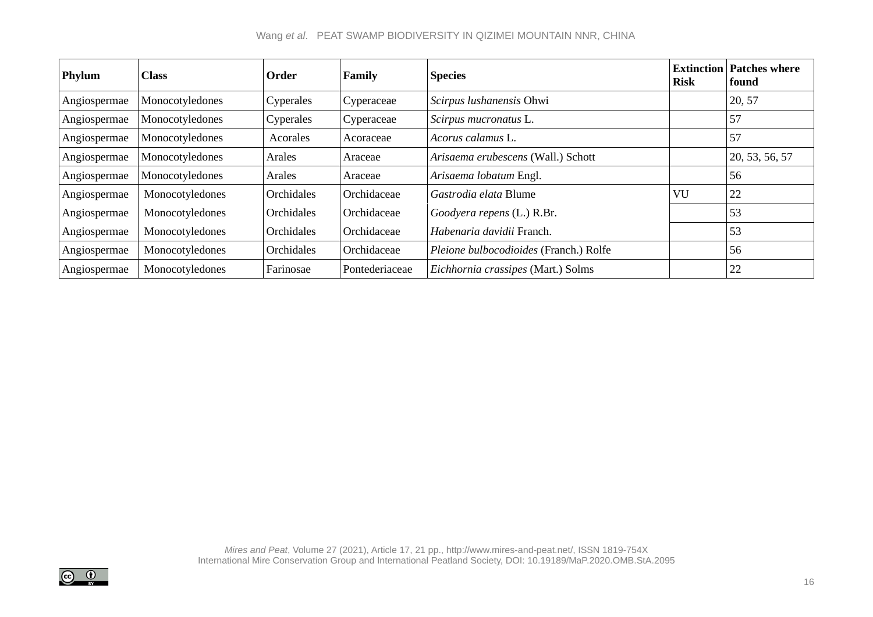# Wang *et al*. PEAT SWAMP BIODIVERSITY IN QIZIMEI MOUNTAIN NNR, CHINA

| Phylum       | <b>Class</b>    | Order      | Family         | <b>Species</b>                         | Risk | <b>Extinction Patches where</b><br>found |
|--------------|-----------------|------------|----------------|----------------------------------------|------|------------------------------------------|
| Angiospermae | Monocotyledones | Cyperales  | Cyperaceae     | Scirpus lushanensis Ohwi               |      | 20, 57                                   |
| Angiospermae | Monocotyledones | Cyperales  | Cyperaceae     | Scirpus mucronatus L.                  |      | 57                                       |
| Angiospermae | Monocotyledones | Acorales   | Acoraceae      | Acorus calamus L.                      |      | 157                                      |
| Angiospermae | Monocotyledones | Arales     | Araceae        | Arisaema erubescens (Wall.) Schott     |      | 20, 53, 56, 57                           |
| Angiospermae | Monocotyledones | Arales     | Araceae        | Arisaema lobatum Engl.                 |      | 56                                       |
| Angiospermae | Monocotyledones | Orchidales | Orchidaceae    | Gastrodia elata Blume                  | VU   | 22                                       |
| Angiospermae | Monocotyledones | Orchidales | Orchidaceae    | Goodyera repens (L.) R.Br.             |      | 53                                       |
| Angiospermae | Monocotyledones | Orchidales | Orchidaceae    | Habenaria davidii Franch.              |      | 53                                       |
| Angiospermae | Monocotyledones | Orchidales | Orchidaceae    | Pleione bulbocodioides (Franch.) Rolfe |      | 56                                       |
| Angiospermae | Monocotyledones | Farinosae  | Pontederiaceae | Eichhornia crassipes (Mart.) Solms     |      | 22                                       |

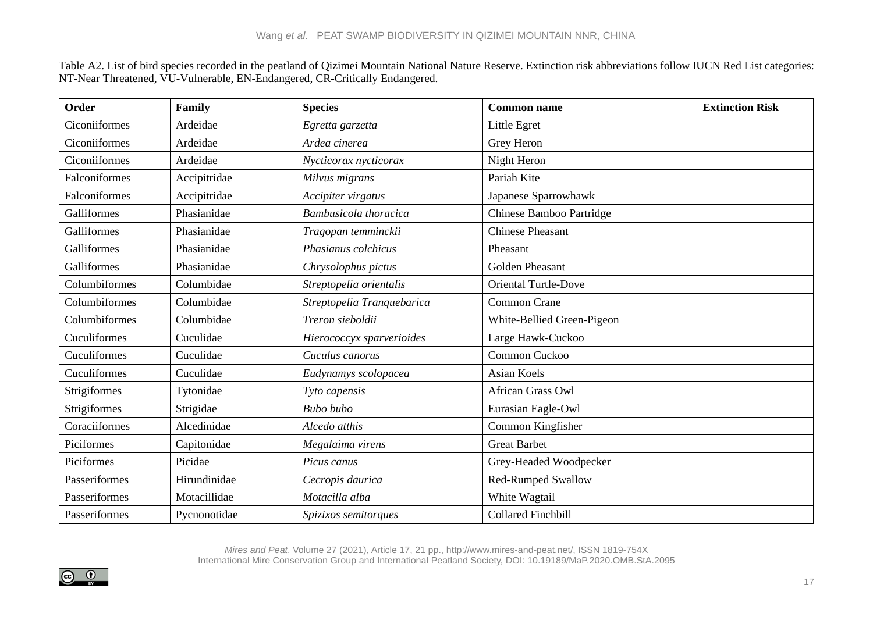Table A2. List of bird species recorded in the peatland of Qizimei Mountain National Nature Reserve. Extinction risk abbreviations follow IUCN Red List categories: NT-Near Threatened, VU-Vulnerable, EN-Endangered, CR-Critically Endangered.

| Order         | Family       | <b>Species</b>             | <b>Common name</b>          | <b>Extinction Risk</b> |
|---------------|--------------|----------------------------|-----------------------------|------------------------|
| Ciconiiformes | Ardeidae     | Egretta garzetta           | Little Egret                |                        |
| Ciconiiformes | Ardeidae     | Ardea cinerea              | Grey Heron                  |                        |
| Ciconiiformes | Ardeidae     | Nycticorax nycticorax      | Night Heron                 |                        |
| Falconiformes | Accipitridae | Milvus migrans             | Pariah Kite                 |                        |
| Falconiformes | Accipitridae | Accipiter virgatus         | Japanese Sparrowhawk        |                        |
| Galliformes   | Phasianidae  | Bambusicola thoracica      | Chinese Bamboo Partridge    |                        |
| Galliformes   | Phasianidae  | Tragopan temminckii        | <b>Chinese Pheasant</b>     |                        |
| Galliformes   | Phasianidae  | Phasianus colchicus        | Pheasant                    |                        |
| Galliformes   | Phasianidae  | Chrysolophus pictus        | <b>Golden Pheasant</b>      |                        |
| Columbiformes | Columbidae   | Streptopelia orientalis    | <b>Oriental Turtle-Dove</b> |                        |
| Columbiformes | Columbidae   | Streptopelia Tranquebarica | <b>Common Crane</b>         |                        |
| Columbiformes | Columbidae   | Treron sieboldii           | White-Bellied Green-Pigeon  |                        |
| Cuculiformes  | Cuculidae    | Hierococcyx sparverioides  | Large Hawk-Cuckoo           |                        |
| Cuculiformes  | Cuculidae    | Cuculus canorus            | Common Cuckoo               |                        |
| Cuculiformes  | Cuculidae    | Eudynamys scolopacea       | <b>Asian Koels</b>          |                        |
| Strigiformes  | Tytonidae    | Tyto capensis              | African Grass Owl           |                        |
| Strigiformes  | Strigidae    | <b>Bubo</b> bubo           | Eurasian Eagle-Owl          |                        |
| Coraciiformes | Alcedinidae  | Alcedo atthis              | Common Kingfisher           |                        |
| Piciformes    | Capitonidae  | Megalaima virens           | <b>Great Barbet</b>         |                        |
| Piciformes    | Picidae      | Picus canus                | Grey-Headed Woodpecker      |                        |
| Passeriformes | Hirundinidae | Cecropis daurica           | Red-Rumped Swallow          |                        |
| Passeriformes | Motacillidae | Motacilla alba             | White Wagtail               |                        |
| Passeriformes | Pycnonotidae | Spizixos semitorques       | <b>Collared Finchbill</b>   |                        |

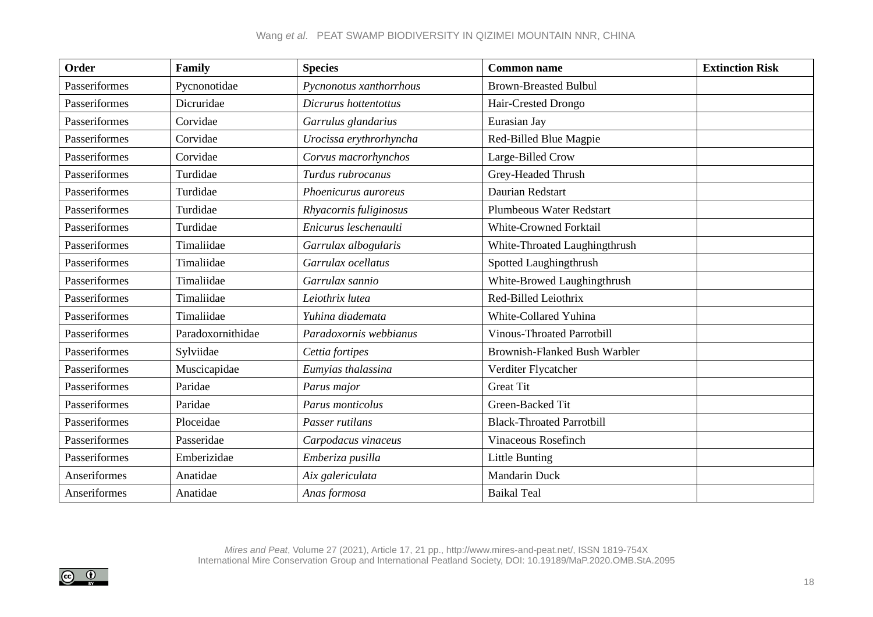# Wang *et al*. PEAT SWAMP BIODIVERSITY IN QIZIMEI MOUNTAIN NNR, CHINA

| Order         | Family            | <b>Species</b>          | <b>Common name</b>                   | <b>Extinction Risk</b> |
|---------------|-------------------|-------------------------|--------------------------------------|------------------------|
| Passeriformes | Pycnonotidae      | Pycnonotus xanthorrhous | <b>Brown-Breasted Bulbul</b>         |                        |
| Passeriformes | Dicruridae        | Dicrurus hottentottus   | Hair-Crested Drongo                  |                        |
| Passeriformes | Corvidae          | Garrulus glandarius     | Eurasian Jay                         |                        |
| Passeriformes | Corvidae          | Urocissa erythrorhyncha | Red-Billed Blue Magpie               |                        |
| Passeriformes | Corvidae          | Corvus macrorhynchos    | Large-Billed Crow                    |                        |
| Passeriformes | Turdidae          | Turdus rubrocanus       | Grey-Headed Thrush                   |                        |
| Passeriformes | Turdidae          | Phoenicurus auroreus    | Daurian Redstart                     |                        |
| Passeriformes | Turdidae          | Rhyacornis fuliginosus  | <b>Plumbeous Water Redstart</b>      |                        |
| Passeriformes | Turdidae          | Enicurus leschenaulti   | <b>White-Crowned Forktail</b>        |                        |
| Passeriformes | Timaliidae        | Garrulax albogularis    | White-Throated Laughingthrush        |                        |
| Passeriformes | Timaliidae        | Garrulax ocellatus      | Spotted Laughingthrush               |                        |
| Passeriformes | Timaliidae        | Garrulax sannio         | White-Browed Laughingthrush          |                        |
| Passeriformes | Timaliidae        | Leiothrix lutea         | Red-Billed Leiothrix                 |                        |
| Passeriformes | Timaliidae        | Yuhina diademata        | White-Collared Yuhina                |                        |
| Passeriformes | Paradoxornithidae | Paradoxornis webbianus  | <b>Vinous-Throated Parrotbill</b>    |                        |
| Passeriformes | Sylviidae         | Cettia fortipes         | <b>Brownish-Flanked Bush Warbler</b> |                        |
| Passeriformes | Muscicapidae      | Eumyias thalassina      | Verditer Flycatcher                  |                        |
| Passeriformes | Paridae           | Parus major             | <b>Great Tit</b>                     |                        |
| Passeriformes | Paridae           | Parus monticolus        | Green-Backed Tit                     |                        |
| Passeriformes | Ploceidae         | Passer rutilans         | <b>Black-Throated Parrotbill</b>     |                        |
| Passeriformes | Passeridae        | Carpodacus vinaceus     | Vinaceous Rosefinch                  |                        |
| Passeriformes | Emberizidae       | Emberiza pusilla        | <b>Little Bunting</b>                |                        |
| Anseriformes  | Anatidae          | Aix galericulata        | <b>Mandarin Duck</b>                 |                        |
| Anseriformes  | Anatidae          | Anas formosa            | <b>Baikal Teal</b>                   |                        |

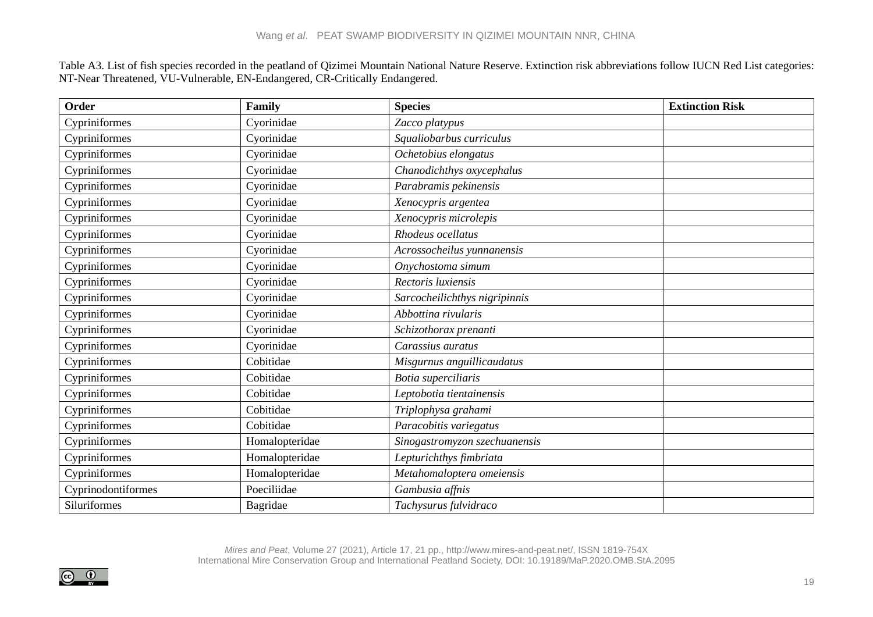Table A3. List of fish species recorded in the peatland of Qizimei Mountain National Nature Reserve. Extinction risk abbreviations follow IUCN Red List categories: NT-Near Threatened, VU-Vulnerable, EN-Endangered, CR-Critically Endangered.

| Order              | Family         | <b>Species</b>                | <b>Extinction Risk</b> |
|--------------------|----------------|-------------------------------|------------------------|
| Cypriniformes      | Cyorinidae     | Zacco platypus                |                        |
| Cypriniformes      | Cyorinidae     | Squaliobarbus curriculus      |                        |
| Cypriniformes      | Cyorinidae     | Ochetobius elongatus          |                        |
| Cypriniformes      | Cyorinidae     | Chanodichthys oxycephalus     |                        |
| Cypriniformes      | Cyorinidae     | Parabramis pekinensis         |                        |
| Cypriniformes      | Cyorinidae     | Xenocypris argentea           |                        |
| Cypriniformes      | Cyorinidae     | Xenocypris microlepis         |                        |
| Cypriniformes      | Cyorinidae     | Rhodeus ocellatus             |                        |
| Cypriniformes      | Cyorinidae     | Acrossocheilus yunnanensis    |                        |
| Cypriniformes      | Cyorinidae     | Onychostoma simum             |                        |
| Cypriniformes      | Cyorinidae     | Rectoris luxiensis            |                        |
| Cypriniformes      | Cyorinidae     | Sarcocheilichthys nigripinnis |                        |
| Cypriniformes      | Cyorinidae     | Abbottina rivularis           |                        |
| Cypriniformes      | Cyorinidae     | Schizothorax prenanti         |                        |
| Cypriniformes      | Cyorinidae     | Carassius auratus             |                        |
| Cypriniformes      | Cobitidae      | Misgurnus anguillicaudatus    |                        |
| Cypriniformes      | Cobitidae      | Botia superciliaris           |                        |
| Cypriniformes      | Cobitidae      | Leptobotia tientainensis      |                        |
| Cypriniformes      | Cobitidae      | Triplophysa grahami           |                        |
| Cypriniformes      | Cobitidae      | Paracobitis variegatus        |                        |
| Cypriniformes      | Homalopteridae | Sinogastromyzon szechuanensis |                        |
| Cypriniformes      | Homalopteridae | Lepturichthys fimbriata       |                        |
| Cypriniformes      | Homalopteridae | Metahomaloptera omeiensis     |                        |
| Cyprinodontiformes | Poeciliidae    | Gambusia affnis               |                        |
| Siluriformes       | Bagridae       | Tachysurus fulvidraco         |                        |

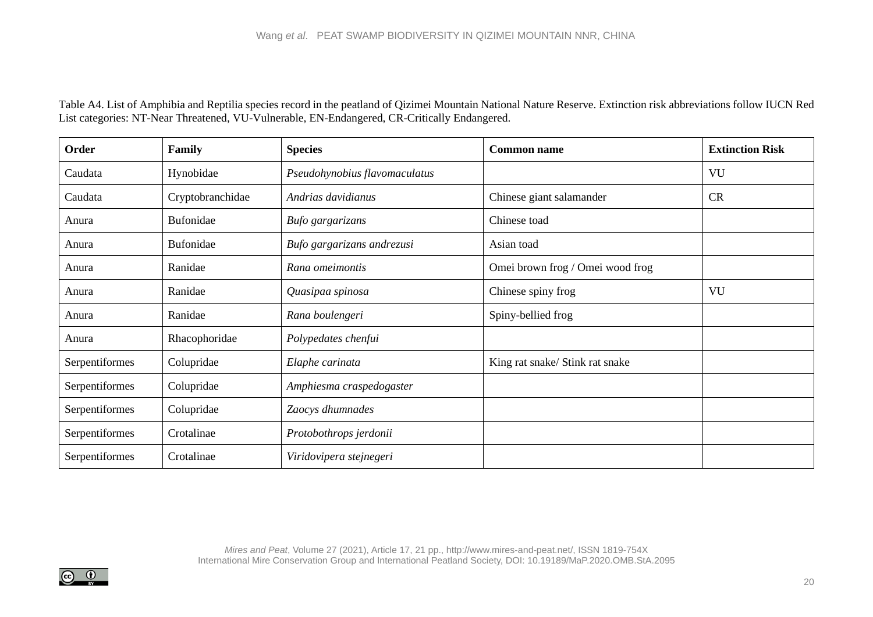Table A4. List of Amphibia and Reptilia species record in the peatland of Qizimei Mountain National Nature Reserve. Extinction risk abbreviations follow IUCN Red List categories: NT-Near Threatened, VU-Vulnerable, EN-Endangered, CR-Critically Endangered.

| Order          | Family           | <b>Species</b>                | <b>Common name</b>               | <b>Extinction Risk</b> |
|----------------|------------------|-------------------------------|----------------------------------|------------------------|
| Caudata        | Hynobidae        | Pseudohynobius flavomaculatus |                                  | VU                     |
| Caudata        | Cryptobranchidae | Andrias davidianus            | Chinese giant salamander         | <b>CR</b>              |
| Anura          | Bufonidae        | Bufo gargarizans              | Chinese toad                     |                        |
| Anura          | Bufonidae        | Bufo gargarizans andrezusi    | Asian toad                       |                        |
| Anura          | Ranidae          | Rana omeimontis               | Omei brown frog / Omei wood frog |                        |
| Anura          | Ranidae          | Quasipaa spinosa              | Chinese spiny frog               | VU                     |
| Anura          | Ranidae          | Rana boulengeri               | Spiny-bellied frog               |                        |
| Anura          | Rhacophoridae    | Polypedates chenfui           |                                  |                        |
| Serpentiformes | Colupridae       | Elaphe carinata               | King rat snake/ Stink rat snake  |                        |
| Serpentiformes | Colupridae       | Amphiesma craspedogaster      |                                  |                        |
| Serpentiformes | Colupridae       | Zaocys dhumnades              |                                  |                        |
| Serpentiformes | Crotalinae       | Protobothrops jerdonii        |                                  |                        |
| Serpentiformes | Crotalinae       | Viridovipera stejnegeri       |                                  |                        |